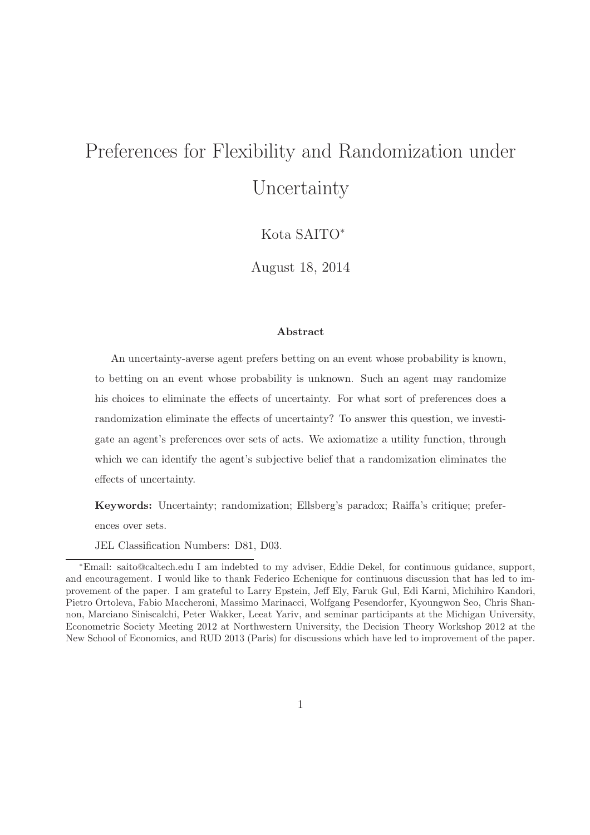# Preferences for Flexibility and Randomization under Uncertainty

Kota SAITO<sup>∗</sup>

August 18, 2014

#### Abstract

An uncertainty-averse agent prefers betting on an event whose probability is known, to betting on an event whose probability is unknown. Such an agent may randomize his choices to eliminate the effects of uncertainty. For what sort of preferences does a randomization eliminate the effects of uncertainty? To answer this question, we investigate an agent's preferences over sets of acts. We axiomatize a utility function, through which we can identify the agent's subjective belief that a randomization eliminates the effects of uncertainty.

Keywords: Uncertainty; randomization; Ellsberg's paradox; Raiffa's critique; preferences over sets.

JEL Classification Numbers: D81, D03.

<sup>∗</sup>Email: saito@caltech.edu I am indebted to my adviser, Eddie Dekel, for continuous guidance, support, and encouragement. I would like to thank Federico Echenique for continuous discussion that has led to improvement of the paper. I am grateful to Larry Epstein, Jeff Ely, Faruk Gul, Edi Karni, Michihiro Kandori, Pietro Ortoleva, Fabio Maccheroni, Massimo Marinacci, Wolfgang Pesendorfer, Kyoungwon Seo, Chris Shannon, Marciano Siniscalchi, Peter Wakker, Leeat Yariv, and seminar participants at the Michigan University, Econometric Society Meeting 2012 at Northwestern University, the Decision Theory Workshop 2012 at the New School of Economics, and RUD 2013 (Paris) for discussions which have led to improvement of the paper.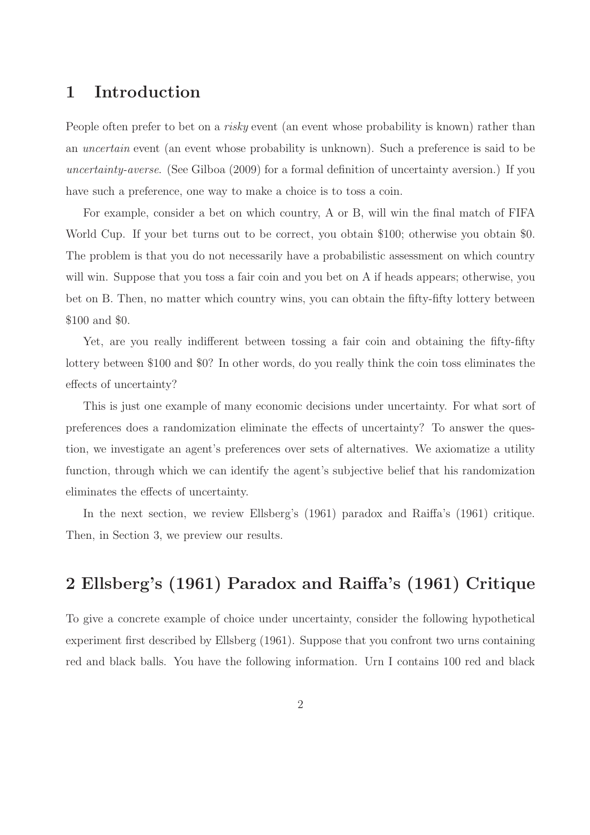# 1 Introduction

People often prefer to bet on a risky event (an event whose probability is known) rather than an uncertain event (an event whose probability is unknown). Such a preference is said to be uncertainty-averse. (See Gilboa (2009) for a formal definition of uncertainty aversion.) If you have such a preference, one way to make a choice is to toss a coin.

For example, consider a bet on which country, A or B, will win the final match of FIFA World Cup. If your bet turns out to be correct, you obtain \$100; otherwise you obtain \$0. The problem is that you do not necessarily have a probabilistic assessment on which country will win. Suppose that you toss a fair coin and you bet on A if heads appears; otherwise, you bet on B. Then, no matter which country wins, you can obtain the fifty-fifty lottery between \$100 and \$0.

Yet, are you really indifferent between tossing a fair coin and obtaining the fifty-fifty lottery between \$100 and \$0? In other words, do you really think the coin toss eliminates the effects of uncertainty?

This is just one example of many economic decisions under uncertainty. For what sort of preferences does a randomization eliminate the effects of uncertainty? To answer the question, we investigate an agent's preferences over sets of alternatives. We axiomatize a utility function, through which we can identify the agent's subjective belief that his randomization eliminates the effects of uncertainty.

In the next section, we review Ellsberg's (1961) paradox and Raiffa's (1961) critique. Then, in Section 3, we preview our results.

# 2 Ellsberg's (1961) Paradox and Raiffa's (1961) Critique

To give a concrete example of choice under uncertainty, consider the following hypothetical experiment first described by Ellsberg (1961). Suppose that you confront two urns containing red and black balls. You have the following information. Urn I contains 100 red and black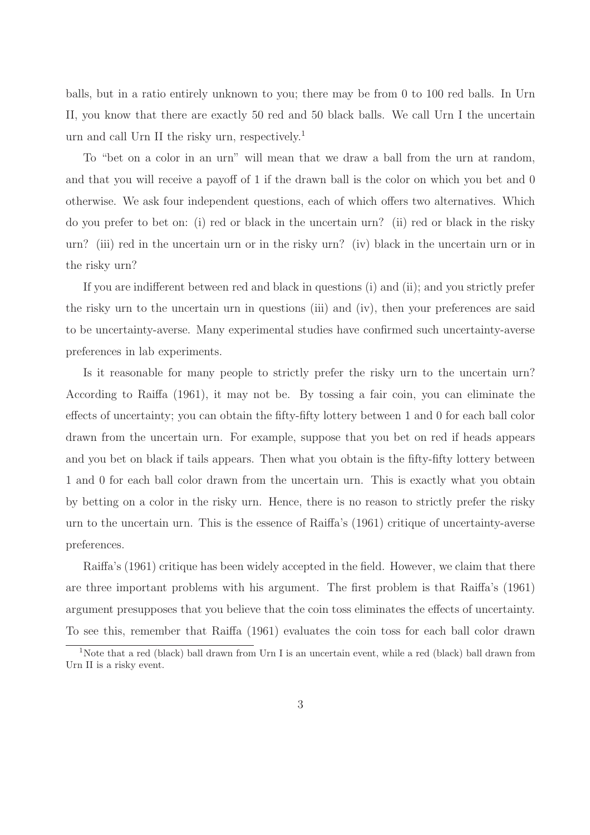balls, but in a ratio entirely unknown to you; there may be from 0 to 100 red balls. In Urn II, you know that there are exactly 50 red and 50 black balls. We call Urn I the uncertain urn and call Urn II the risky urn, respectively.<sup>1</sup>

To "bet on a color in an urn" will mean that we draw a ball from the urn at random, and that you will receive a payoff of 1 if the drawn ball is the color on which you bet and 0 otherwise. We ask four independent questions, each of which offers two alternatives. Which do you prefer to bet on: (i) red or black in the uncertain urn? (ii) red or black in the risky urn? (iii) red in the uncertain urn or in the risky urn? (iv) black in the uncertain urn or in the risky urn?

If you are indifferent between red and black in questions (i) and (ii); and you strictly prefer the risky urn to the uncertain urn in questions (iii) and (iv), then your preferences are said to be uncertainty-averse. Many experimental studies have confirmed such uncertainty-averse preferences in lab experiments.

Is it reasonable for many people to strictly prefer the risky urn to the uncertain urn? According to Raiffa (1961), it may not be. By tossing a fair coin, you can eliminate the effects of uncertainty; you can obtain the fifty-fifty lottery between 1 and 0 for each ball color drawn from the uncertain urn. For example, suppose that you bet on red if heads appears and you bet on black if tails appears. Then what you obtain is the fifty-fifty lottery between 1 and 0 for each ball color drawn from the uncertain urn. This is exactly what you obtain by betting on a color in the risky urn. Hence, there is no reason to strictly prefer the risky urn to the uncertain urn. This is the essence of Raiffa's (1961) critique of uncertainty-averse preferences.

Raiffa's (1961) critique has been widely accepted in the field. However, we claim that there are three important problems with his argument. The first problem is that Raiffa's (1961) argument presupposes that you believe that the coin toss eliminates the effects of uncertainty. To see this, remember that Raiffa (1961) evaluates the coin toss for each ball color drawn

<sup>&</sup>lt;sup>1</sup>Note that a red (black) ball drawn from Urn I is an uncertain event, while a red (black) ball drawn from Urn II is a risky event.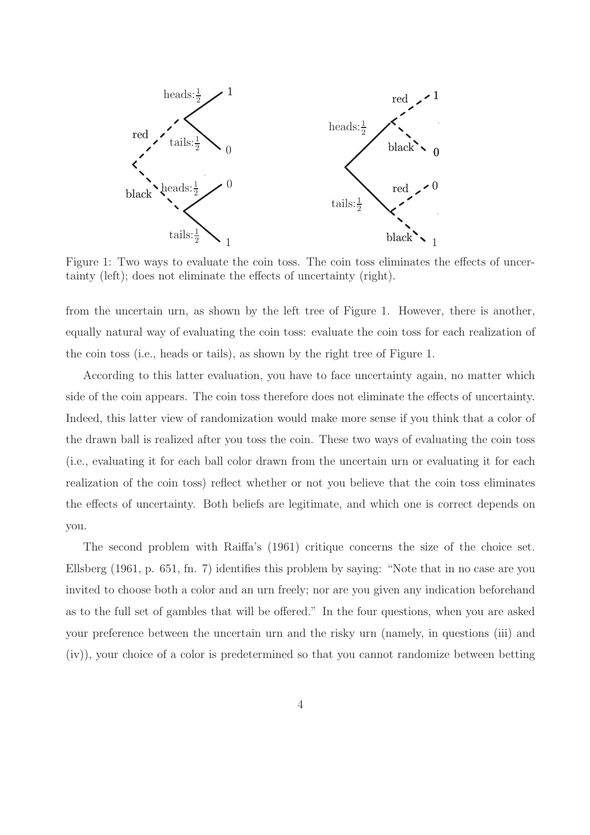

Figure 1: Two ways to evaluate the coin toss. The coin toss eliminates the effects of uncertainty (left); does not eliminate the effects of uncertainty (right).

from the uncertain urn, as shown by the left tree of Figure 1. However, there is another, equally natural way of evaluating the coin toss: evaluate the coin toss for each realization of the coin toss (i.e., heads or tails), as shown by the right tree of Figure 1.

According to this latter evaluation, you have to face uncertainty again, no matter which side of the coin appears. The coin toss therefore does not eliminate the effects of uncertainty. Indeed, this latter view of randomization would make more sense if you think that a color of the drawn ball is realized after you toss the coin. These two ways of evaluating the coin toss (i.e., evaluating it for each ball color drawn from the uncertain urn or evaluating it for each realization of the coin toss) reflect whether or not you believe that the coin toss eliminates the effects of uncertainty. Both beliefs are legitimate, and which one is correct depends on you.

The second problem with Raiffa's (1961) critique concerns the size of the choice set. Ellsberg (1961, p. 651, fn. 7) identifies this problem by saying: "Note that in no case are you invited to choose both a color and an urn freely; nor are you given any indication beforehand as to the full set of gambles that will be offered." In the four questions, when you are asked your preference between the uncertain urn and the risky urn (namely, in questions (iii) and (iv)), your choice of a color is predetermined so that you cannot randomize between betting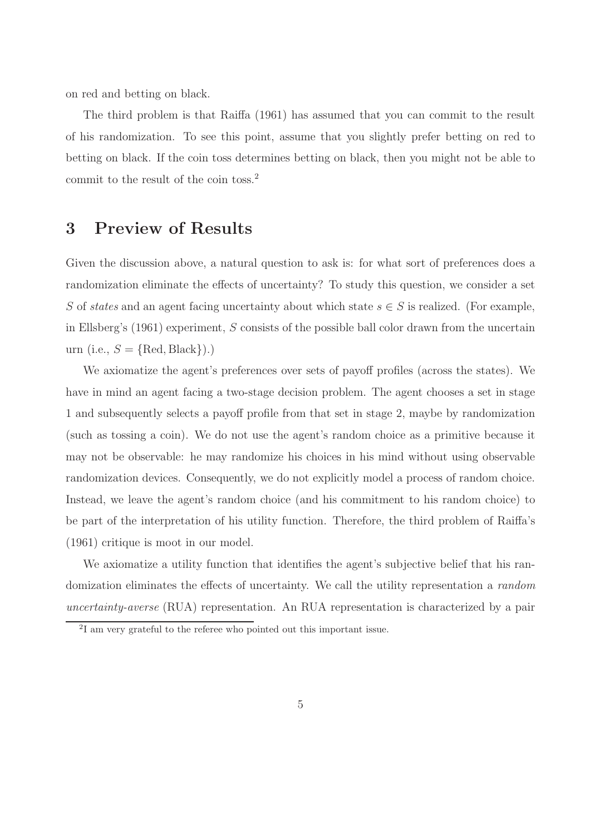on red and betting on black.

The third problem is that Raiffa (1961) has assumed that you can commit to the result of his randomization. To see this point, assume that you slightly prefer betting on red to betting on black. If the coin toss determines betting on black, then you might not be able to commit to the result of the coin toss.<sup>2</sup>

### 3 Preview of Results

Given the discussion above, a natural question to ask is: for what sort of preferences does a randomization eliminate the effects of uncertainty? To study this question, we consider a set S of states and an agent facing uncertainty about which state  $s \in S$  is realized. (For example, in Ellsberg's (1961) experiment, S consists of the possible ball color drawn from the uncertain urn (i.e.,  $S = \{Red, Black\}).$ 

We axiomatize the agent's preferences over sets of payoff profiles (across the states). We have in mind an agent facing a two-stage decision problem. The agent chooses a set in stage 1 and subsequently selects a payoff profile from that set in stage 2, maybe by randomization (such as tossing a coin). We do not use the agent's random choice as a primitive because it may not be observable: he may randomize his choices in his mind without using observable randomization devices. Consequently, we do not explicitly model a process of random choice. Instead, we leave the agent's random choice (and his commitment to his random choice) to be part of the interpretation of his utility function. Therefore, the third problem of Raiffa's (1961) critique is moot in our model.

We axiomatize a utility function that identifies the agent's subjective belief that his randomization eliminates the effects of uncertainty. We call the utility representation a random uncertainty-averse (RUA) representation. An RUA representation is characterized by a pair

<sup>2</sup> I am very grateful to the referee who pointed out this important issue.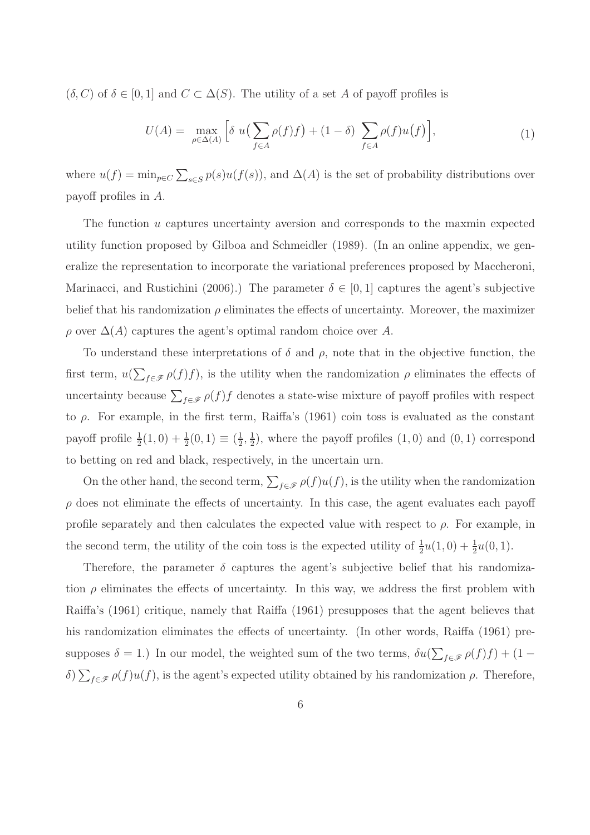$(\delta, C)$  of  $\delta \in [0, 1]$  and  $C \subset \Delta(S)$ . The utility of a set A of payoff profiles is

$$
U(A) = \max_{\rho \in \Delta(A)} \left[ \delta u \left( \sum_{f \in A} \rho(f) f \right) + (1 - \delta) \sum_{f \in A} \rho(f) u(f) \right],\tag{1}
$$

where  $u(f) = \min_{p \in C} \sum_{s \in S} p(s) u(f(s))$ , and  $\Delta(A)$  is the set of probability distributions over payoff profiles in A.

The function  $u$  captures uncertainty aversion and corresponds to the maxmin expected utility function proposed by Gilboa and Schmeidler (1989). (In an online appendix, we generalize the representation to incorporate the variational preferences proposed by Maccheroni, Marinacci, and Rustichini (2006).) The parameter  $\delta \in [0, 1]$  captures the agent's subjective belief that his randomization  $\rho$  eliminates the effects of uncertainty. Moreover, the maximizer  $\rho$  over  $\Delta(A)$  captures the agent's optimal random choice over A.

To understand these interpretations of  $\delta$  and  $\rho$ , note that in the objective function, the first term,  $u(\sum_{f \in \mathscr{F}} \rho(f) f)$ , is the utility when the randomization  $\rho$  eliminates the effects of uncertainty because  $\sum_{f \in \mathcal{F}} \rho(f) f$  denotes a state-wise mixture of payoff profiles with respect to ρ. For example, in the first term, Raiffa's (1961) coin toss is evaluated as the constant payoff profile  $\frac{1}{2}(1,0) + \frac{1}{2}(0,1) \equiv (\frac{1}{2})$  $\frac{1}{2}, \frac{1}{2}$  $\frac{1}{2}$ , where the payoff profiles  $(1,0)$  and  $(0,1)$  correspond to betting on red and black, respectively, in the uncertain urn.

On the other hand, the second term,  $\sum_{f \in \mathscr{F}} \rho(f) u(f)$ , is the utility when the randomization  $\rho$  does not eliminate the effects of uncertainty. In this case, the agent evaluates each payoff profile separately and then calculates the expected value with respect to  $\rho$ . For example, in the second term, the utility of the coin toss is the expected utility of  $\frac{1}{2}u(1,0) + \frac{1}{2}u(0,1)$ .

Therefore, the parameter  $\delta$  captures the agent's subjective belief that his randomization  $\rho$  eliminates the effects of uncertainty. In this way, we address the first problem with Raiffa's (1961) critique, namely that Raiffa (1961) presupposes that the agent believes that his randomization eliminates the effects of uncertainty. (In other words, Raiffa (1961) presupposes  $\delta = 1$ .) In our model, the weighted sum of the two terms,  $\delta u(\sum_{f \in \mathscr{F}} \rho(f)f) + (1$ δ)  $\sum_{f \in \mathcal{F}} \rho(f)u(f)$ , is the agent's expected utility obtained by his randomization  $\rho$ . Therefore,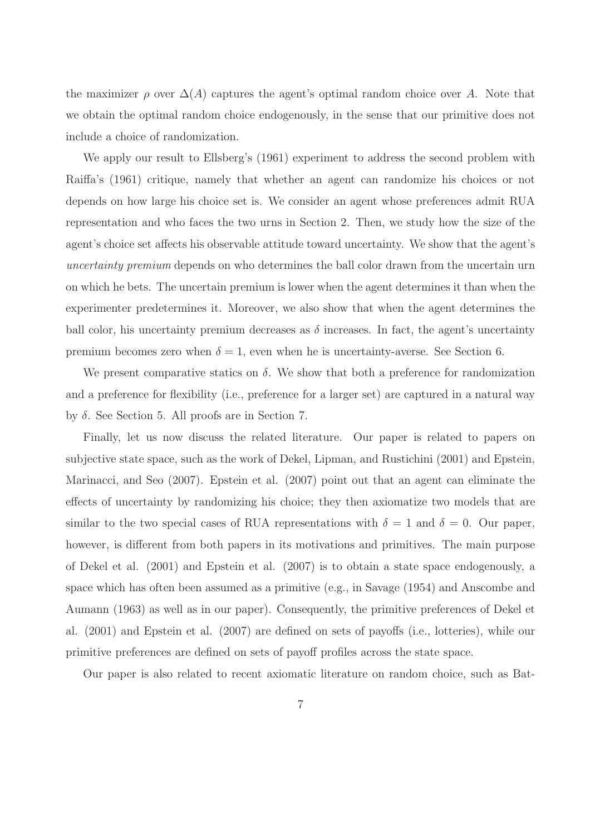the maximizer  $\rho$  over  $\Delta(A)$  captures the agent's optimal random choice over A. Note that we obtain the optimal random choice endogenously, in the sense that our primitive does not include a choice of randomization.

We apply our result to Ellsberg's (1961) experiment to address the second problem with Raiffa's (1961) critique, namely that whether an agent can randomize his choices or not depends on how large his choice set is. We consider an agent whose preferences admit RUA representation and who faces the two urns in Section 2. Then, we study how the size of the agent's choice set affects his observable attitude toward uncertainty. We show that the agent's uncertainty premium depends on who determines the ball color drawn from the uncertain urn on which he bets. The uncertain premium is lower when the agent determines it than when the experimenter predetermines it. Moreover, we also show that when the agent determines the ball color, his uncertainty premium decreases as  $\delta$  increases. In fact, the agent's uncertainty premium becomes zero when  $\delta = 1$ , even when he is uncertainty-averse. See Section 6.

We present comparative statics on  $\delta$ . We show that both a preference for randomization and a preference for flexibility (i.e., preference for a larger set) are captured in a natural way by δ. See Section 5. All proofs are in Section 7.

Finally, let us now discuss the related literature. Our paper is related to papers on subjective state space, such as the work of Dekel, Lipman, and Rustichini (2001) and Epstein, Marinacci, and Seo (2007). Epstein et al. (2007) point out that an agent can eliminate the effects of uncertainty by randomizing his choice; they then axiomatize two models that are similar to the two special cases of RUA representations with  $\delta = 1$  and  $\delta = 0$ . Our paper, however, is different from both papers in its motivations and primitives. The main purpose of Dekel et al. (2001) and Epstein et al. (2007) is to obtain a state space endogenously, a space which has often been assumed as a primitive (e.g., in Savage (1954) and Anscombe and Aumann (1963) as well as in our paper). Consequently, the primitive preferences of Dekel et al. (2001) and Epstein et al. (2007) are defined on sets of payoffs (i.e., lotteries), while our primitive preferences are defined on sets of payoff profiles across the state space.

Our paper is also related to recent axiomatic literature on random choice, such as Bat-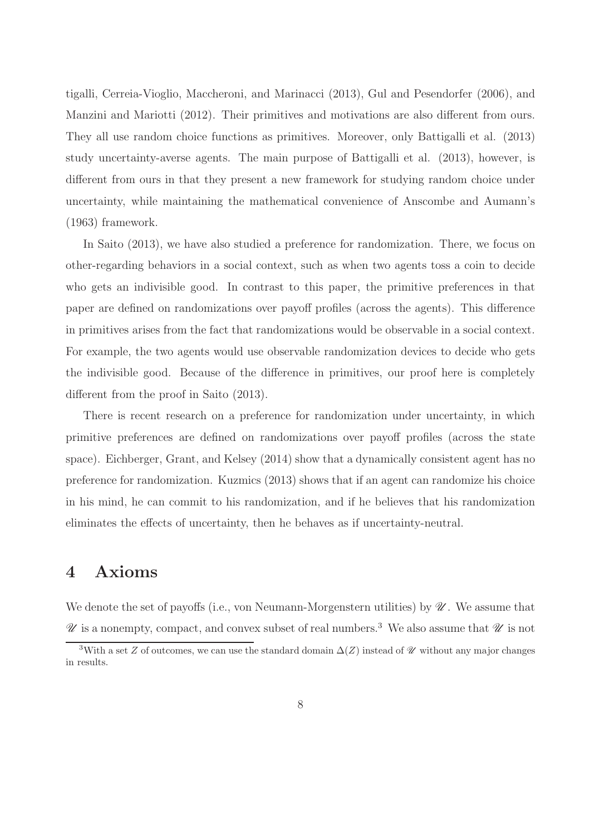tigalli, Cerreia-Vioglio, Maccheroni, and Marinacci (2013), Gul and Pesendorfer (2006), and Manzini and Mariotti (2012). Their primitives and motivations are also different from ours. They all use random choice functions as primitives. Moreover, only Battigalli et al. (2013) study uncertainty-averse agents. The main purpose of Battigalli et al. (2013), however, is different from ours in that they present a new framework for studying random choice under uncertainty, while maintaining the mathematical convenience of Anscombe and Aumann's (1963) framework.

In Saito (2013), we have also studied a preference for randomization. There, we focus on other-regarding behaviors in a social context, such as when two agents toss a coin to decide who gets an indivisible good. In contrast to this paper, the primitive preferences in that paper are defined on randomizations over payoff profiles (across the agents). This difference in primitives arises from the fact that randomizations would be observable in a social context. For example, the two agents would use observable randomization devices to decide who gets the indivisible good. Because of the difference in primitives, our proof here is completely different from the proof in Saito (2013).

There is recent research on a preference for randomization under uncertainty, in which primitive preferences are defined on randomizations over payoff profiles (across the state space). Eichberger, Grant, and Kelsey (2014) show that a dynamically consistent agent has no preference for randomization. Kuzmics (2013) shows that if an agent can randomize his choice in his mind, he can commit to his randomization, and if he believes that his randomization eliminates the effects of uncertainty, then he behaves as if uncertainty-neutral.

# 4 Axioms

We denote the set of payoffs (i.e., von Neumann-Morgenstern utilities) by  $\mathscr{U}$ . We assume that  $\mathscr U$  is a nonempty, compact, and convex subset of real numbers.<sup>3</sup> We also assume that  $\mathscr U$  is not

<sup>&</sup>lt;sup>3</sup>With a set Z of outcomes, we can use the standard domain  $\Delta(Z)$  instead of  $\mathcal U$  without any major changes in results.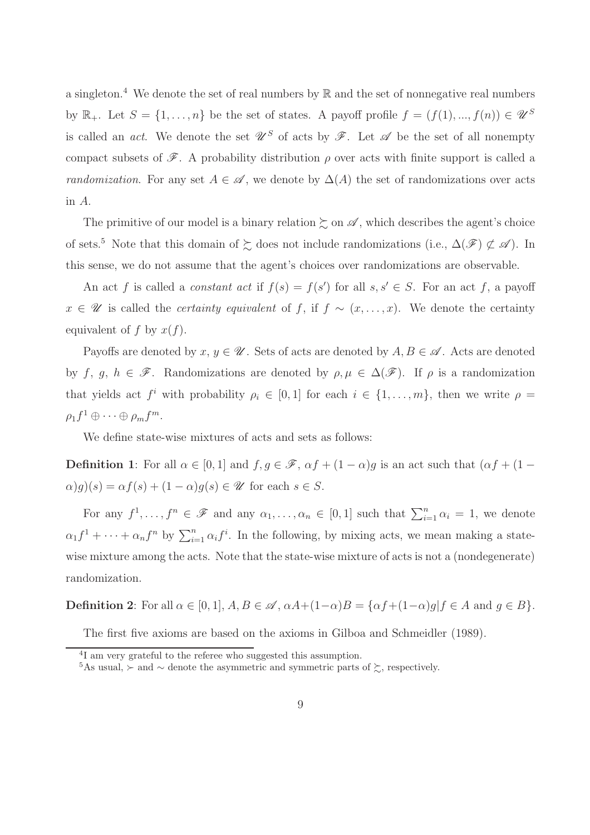a singleton.<sup>4</sup> We denote the set of real numbers by  $\mathbb R$  and the set of nonnegative real numbers by  $\mathbb{R}_+$ . Let  $S = \{1, \ldots, n\}$  be the set of states. A payoff profile  $f = (f(1), \ldots, f(n)) \in \mathscr{U}^S$ is called an *act*. We denote the set  $\mathscr{U}^S$  of acts by  $\mathscr{F}$ . Let  $\mathscr{A}$  be the set of all nonempty compact subsets of  $\mathscr{F}$ . A probability distribution  $\rho$  over acts with finite support is called a *randomization.* For any set  $A \in \mathscr{A}$ , we denote by  $\Delta(A)$  the set of randomizations over acts in A.

The primitive of our model is a binary relation  $\gtrsim$  on  $\mathscr A$ , which describes the agent's choice of sets.<sup>5</sup> Note that this domain of  $\succsim$  does not include randomizations (i.e.,  $\Delta(\mathscr{F}) \not\subset \mathscr{A}$ ). In this sense, we do not assume that the agent's choices over randomizations are observable.

An act f is called a *constant act* if  $f(s) = f(s')$  for all  $s, s' \in S$ . For an act f, a payoff  $x \in \mathscr{U}$  is called the *certainty equivalent* of f, if  $f \sim (x, \ldots, x)$ . We denote the certainty equivalent of f by  $x(f)$ .

Payoffs are denoted by  $x, y \in \mathcal{U}$ . Sets of acts are denoted by  $A, B \in \mathcal{A}$ . Acts are denoted by f, g,  $h \in \mathscr{F}$ . Randomizations are denoted by  $\rho, \mu \in \Delta(\mathscr{F})$ . If  $\rho$  is a randomization that yields act  $f^i$  with probability  $\rho_i \in [0,1]$  for each  $i \in \{1,\ldots,m\}$ , then we write  $\rho =$  $\rho_1 f^1 \oplus \cdots \oplus \rho_m f^m.$ 

We define state-wise mixtures of acts and sets as follows:

**Definition 1:** For all  $\alpha \in [0,1]$  and  $f, g \in \mathcal{F}$ ,  $\alpha f + (1 - \alpha)g$  is an act such that  $(\alpha f + (1 - \alpha)g)$  $\alpha(g)(s) = \alpha f(s) + (1 - \alpha)g(s) \in \mathcal{U}$  for each  $s \in S$ .

For any  $f^1, \ldots, f^n \in \mathscr{F}$  and any  $\alpha_1, \ldots, \alpha_n \in [0,1]$  such that  $\sum_{i=1}^n \alpha_i = 1$ , we denote  $\alpha_1 f^1 + \cdots + \alpha_n f^n$  by  $\sum_{i=1}^n \alpha_i f^i$ . In the following, by mixing acts, we mean making a statewise mixture among the acts. Note that the state-wise mixture of acts is not a (nondegenerate) randomization.

**Definition 2:** For all  $\alpha \in [0, 1]$ ,  $A, B \in \mathcal{A}$ ,  $\alpha A + (1 - \alpha)B = \{\alpha f + (1 - \alpha)g | f \in A \text{ and } g \in B\}.$ 

The first five axioms are based on the axioms in Gilboa and Schmeidler (1989).

<sup>&</sup>lt;sup>4</sup>I am very grateful to the referee who suggested this assumption.

<sup>5</sup>As usual, ≻ and  $\sim$  denote the asymmetric and symmetric parts of  $\succsim$ , respectively.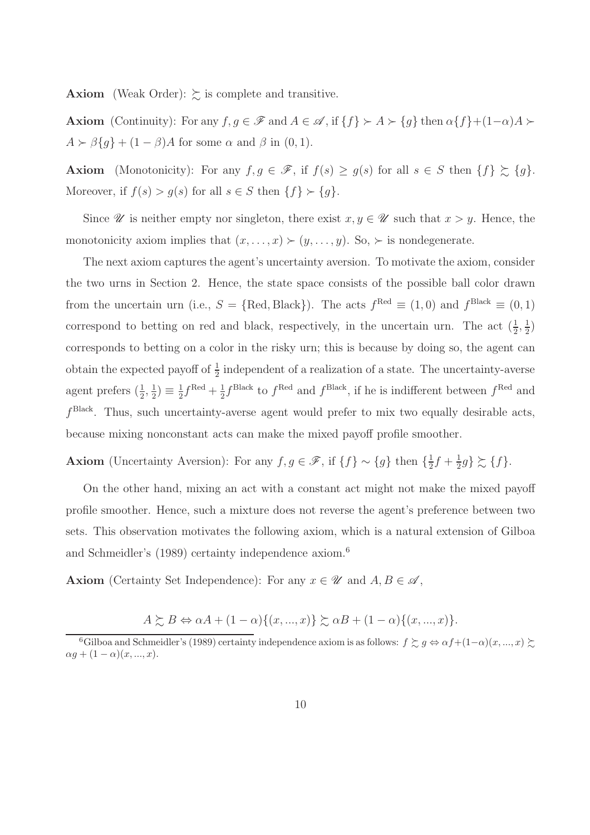**Axiom** (Weak Order):  $\gtrsim$  is complete and transitive.

**Axiom** (Continuity): For any  $f, g \in \mathscr{F}$  and  $A \in \mathscr{A}$ , if  $\{f\} \succ A \succ \{g\}$  then  $\alpha \{f\} + (1-\alpha)A \succ \alpha$  $A \succ \beta\{g\} + (1 - \beta)A$  for some  $\alpha$  and  $\beta$  in  $(0, 1)$ .

Axiom (Monotonicity): For any  $f, g \in \mathscr{F}$ , if  $f(s) \ge g(s)$  for all  $s \in S$  then  $\{f\} \succsim \{g\}$ . Moreover, if  $f(s) > g(s)$  for all  $s \in S$  then  $\{f\} \succ \{g\}.$ 

Since  $\mathscr U$  is neither empty nor singleton, there exist  $x, y \in \mathscr U$  such that  $x > y$ . Hence, the monotonicity axiom implies that  $(x, \ldots, x) \succ (y, \ldots, y)$ . So,  $\succ$  is nondegenerate.

The next axiom captures the agent's uncertainty aversion. To motivate the axiom, consider the two urns in Section 2. Hence, the state space consists of the possible ball color drawn from the uncertain urn (i.e.,  $S = \{ \text{Red}, \text{Black} \}$ ). The acts  $f^{\text{Red}} \equiv (1,0)$  and  $f^{\text{Black}} \equiv (0,1)$ correspond to betting on red and black, respectively, in the uncertain urn. The act  $(\frac{1}{2}, \frac{1}{2})$  $(\frac{1}{2})$ corresponds to betting on a color in the risky urn; this is because by doing so, the agent can obtain the expected payoff of  $\frac{1}{2}$  independent of a realization of a state. The uncertainty-averse agent prefers  $(\frac{1}{2}, \frac{1}{2})$  $\frac{1}{2}) \equiv \frac{1}{2}$  $\frac{1}{2}f^{\text{Red}} + \frac{1}{2}$  $\frac{1}{2} f^{\text{Black}}$  to  $f^{\text{Red}}$  and  $f^{\text{Black}}$ , if he is indifferent between  $f^{\text{Red}}$  and  $f<sup>Black</sup>$ . Thus, such uncertainty-averse agent would prefer to mix two equally desirable acts, because mixing nonconstant acts can make the mixed payoff profile smoother.

**Axiom** (Uncertainty Aversion): For any  $f, g \in \mathscr{F}$ , if  $\{f\} \sim \{g\}$  then  $\{\frac{1}{2}$  $\frac{1}{2}f + \frac{1}{2}$  $\frac{1}{2}g\}\succsim\{f\}.$ 

On the other hand, mixing an act with a constant act might not make the mixed payoff profile smoother. Hence, such a mixture does not reverse the agent's preference between two sets. This observation motivates the following axiom, which is a natural extension of Gilboa and Schmeidler's (1989) certainty independence axiom.<sup>6</sup>

**Axiom** (Certainty Set Independence): For any  $x \in \mathcal{U}$  and  $A, B \in \mathcal{A}$ ,

$$
A \succsim B \Leftrightarrow \alpha A + (1 - \alpha) \{ (x, ..., x) \} \succsim \alpha B + (1 - \alpha) \{ (x, ..., x) \}.
$$

<sup>&</sup>lt;sup>6</sup>Gilboa and Schmeidler's (1989) certainty independence axiom is as follows:  $f \succsim g \Leftrightarrow \alpha f + (1-\alpha)(x, ..., x) \succsim$  $\alpha g + (1 - \alpha)(x, ..., x).$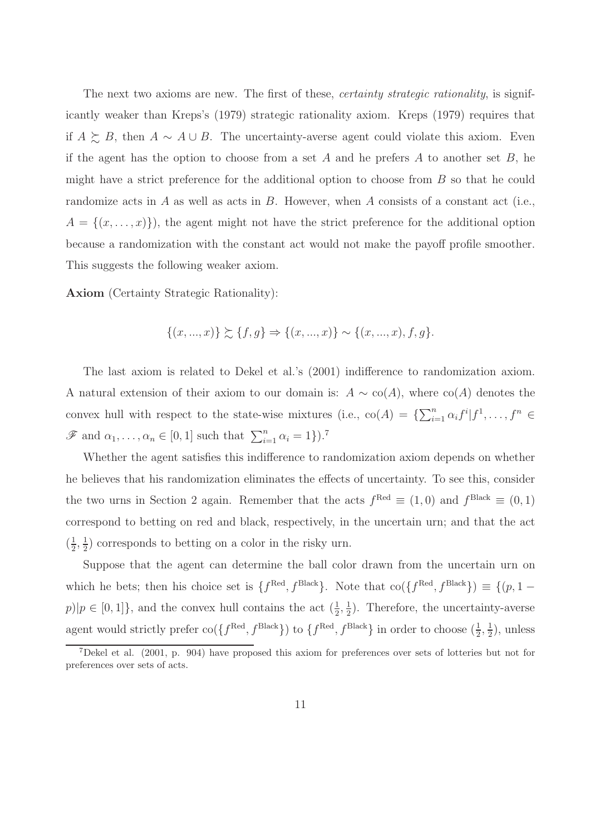The next two axioms are new. The first of these, *certainty strategic rationality*, is significantly weaker than Kreps's (1979) strategic rationality axiom. Kreps (1979) requires that if  $A \succeq B$ , then  $A \sim A \cup B$ . The uncertainty-averse agent could violate this axiom. Even if the agent has the option to choose from a set A and he prefers A to another set B, he might have a strict preference for the additional option to choose from B so that he could randomize acts in  $A$  as well as acts in  $B$ . However, when  $A$  consists of a constant act (i.e.,  $A = \{(x, \ldots, x)\}\)$ , the agent might not have the strict preference for the additional option because a randomization with the constant act would not make the payoff profile smoother. This suggests the following weaker axiom.

Axiom (Certainty Strategic Rationality):

$$
\{(x, ..., x)\}\succsim \{f, g\} \Rightarrow \{(x, ..., x)\} \sim \{(x, ..., x), f, g\}.
$$

The last axiom is related to Dekel et al.'s (2001) indifference to randomization axiom. A natural extension of their axiom to our domain is:  $A \sim \text{co}(A)$ , where  $\text{co}(A)$  denotes the convex hull with respect to the state-wise mixtures (i.e.,  $\text{co}(A) = {\sum_{i=1}^{n} \alpha_i f^i | f^1, \dots, f^n}$  $\mathscr{F}$  and  $\alpha_1, \ldots, \alpha_n \in [0, 1]$  such that  $\sum_{i=1}^n \alpha_i = 1$ .<sup>7</sup>

Whether the agent satisfies this indifference to randomization axiom depends on whether he believes that his randomization eliminates the effects of uncertainty. To see this, consider the two urns in Section 2 again. Remember that the acts  $f^{\text{Red}} \equiv (1,0)$  and  $f^{\text{Black}} \equiv (0,1)$ correspond to betting on red and black, respectively, in the uncertain urn; and that the act  $\left(\frac{1}{2}\right)$  $\frac{1}{2}, \frac{1}{2}$  $\frac{1}{2}$ ) corresponds to betting on a color in the risky urn.

Suppose that the agent can determine the ball color drawn from the uncertain urn on which he bets; then his choice set is  $\{f^{\text{Red}}, f^{\text{Black}}\}$ . Note that  $\text{co}(\{f^{\text{Red}}, f^{\text{Black}}\}) \equiv \{(p, 1$  $p||p \in [0,1]\},$  and the convex hull contains the act  $(\frac{1}{2}, \frac{1}{2})$  $\frac{1}{2}$ ). Therefore, the uncertainty-averse agent would strictly prefer  $\text{co}(\lbrace f^{\text{Red}}, f^{\text{Black}} \rbrace)$  to  $\lbrace f^{\text{Red}}, f^{\text{Black}} \rbrace$  in order to choose  $(\frac{1}{2}, \frac{1}{2})$  $(\frac{1}{2})$ , unless

<sup>7</sup>Dekel et al. (2001, p. 904) have proposed this axiom for preferences over sets of lotteries but not for preferences over sets of acts.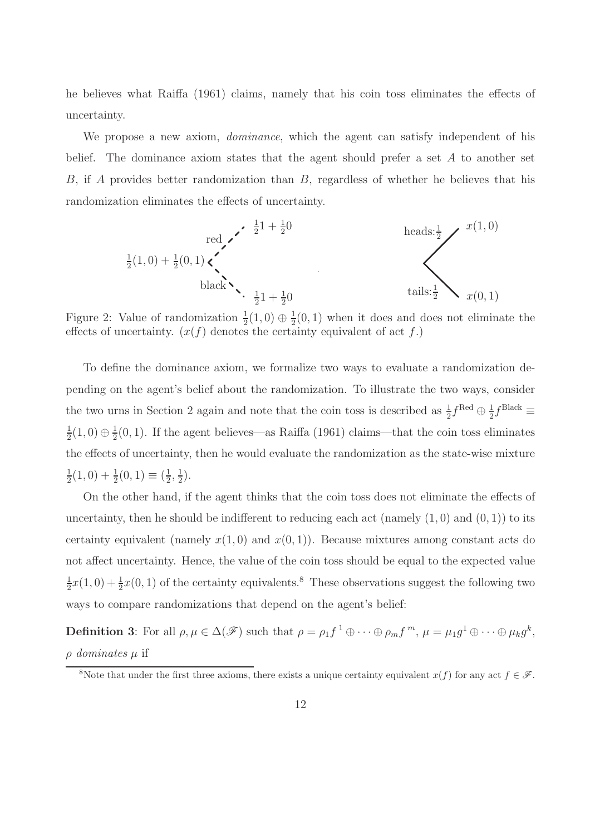he believes what Raiffa (1961) claims, namely that his coin toss eliminates the effects of uncertainty.

We propose a new axiom, *dominance*, which the agent can satisfy independent of his belief. The dominance axiom states that the agent should prefer a set A to another set B, if A provides better randomization than B, regardless of whether he believes that his randomization eliminates the effects of uncertainty.

$$
\frac{1}{2}(1,0) + \frac{1}{2}(0,1) \times \left\{\n\begin{array}{c}\n\frac{1}{2}1 + \frac{1}{2}0 & \text{heads:} \frac{1}{2} \\
\frac{1}{2}(1,0) + \frac{1}{2}(0,1) & \text{black} \\
\frac{1}{2}1 + \frac{1}{2}0 & \text{tails:} \frac{1}{2} \times x(0,1)\n\end{array}\n\right.
$$

Figure 2: Value of randomization  $\frac{1}{2}(1,0) \oplus \frac{1}{2}$  $\frac{1}{2}(0,1)$  when it does and does not eliminate the effects of uncertainty.  $(x(f)$  denotes the certainty equivalent of act f.)

To define the dominance axiom, we formalize two ways to evaluate a randomization depending on the agent's belief about the randomization. To illustrate the two ways, consider the two urns in Section 2 again and note that the coin toss is described as  $\frac{1}{2} f^{\text{Red}} \oplus \frac{1}{2}$  $\frac{1}{2}f^{\text{Black}}$ 1  $\frac{1}{2}(1,0) \oplus \frac{1}{2}$  $\frac{1}{2}(0, 1)$ . If the agent believes—as Raiffa (1961) claims—that the coin toss eliminates the effects of uncertainty, then he would evaluate the randomization as the state-wise mixture 1  $\frac{1}{2}(1,0) + \frac{1}{2}(0,1) \equiv (\frac{1}{2})$  $\frac{1}{2}, \frac{1}{2}$  $(\frac{1}{2})$ .

On the other hand, if the agent thinks that the coin toss does not eliminate the effects of uncertainty, then he should be indifferent to reducing each act (namely  $(1,0)$  and  $(0,1)$ ) to its certainty equivalent (namely  $x(1,0)$  and  $x(0,1)$ ). Because mixtures among constant acts do not affect uncertainty. Hence, the value of the coin toss should be equal to the expected value 1  $\frac{1}{2}x(1,0) + \frac{1}{2}x(0,1)$  of the certainty equivalents.<sup>8</sup> These observations suggest the following two ways to compare randomizations that depend on the agent's belief:

**Definition 3**: For all  $\rho, \mu \in \Delta(\mathscr{F})$  such that  $\rho = \rho_1 f^1 \oplus \cdots \oplus \rho_m f^m$ ,  $\mu = \mu_1 g^1 \oplus \cdots \oplus \mu_k g^k$ ,  $\rho$  dominates  $\mu$  if

<sup>&</sup>lt;sup>8</sup>Note that under the first three axioms, there exists a unique certainty equivalent  $x(f)$  for any act  $f \in \mathscr{F}$ .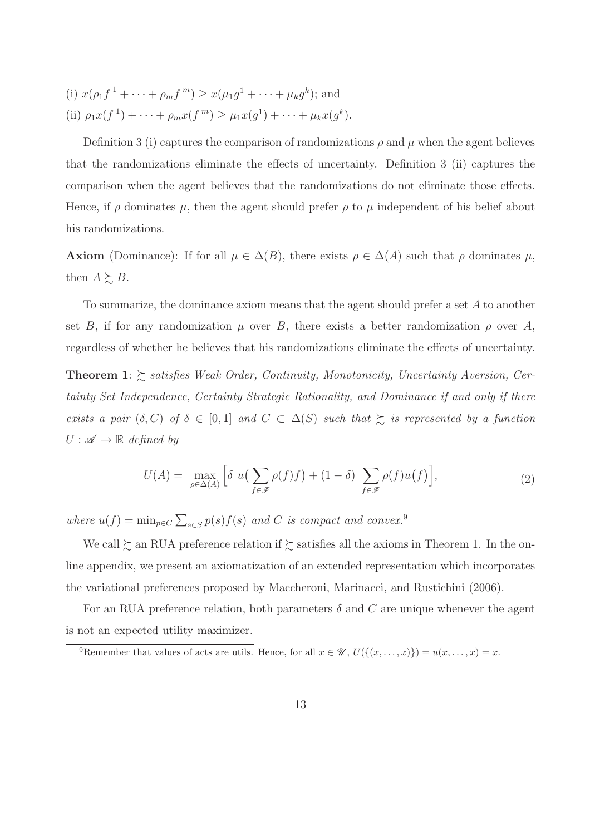(i)  $x(\rho_1 f^1 + \cdots + \rho_m f^m) \geq x(\mu_1 g^1 + \cdots + \mu_k g^k)$ ; and (ii)  $\rho_1 x(f^1) + \cdots + \rho_m x(f^m) \ge \mu_1 x(g^1) + \cdots + \mu_k x(g^k).$ 

Definition 3 (i) captures the comparison of randomizations  $\rho$  and  $\mu$  when the agent believes that the randomizations eliminate the effects of uncertainty. Definition 3 (ii) captures the comparison when the agent believes that the randomizations do not eliminate those effects. Hence, if  $\rho$  dominates  $\mu$ , then the agent should prefer  $\rho$  to  $\mu$  independent of his belief about his randomizations.

**Axiom** (Dominance): If for all  $\mu \in \Delta(B)$ , there exists  $\rho \in \Delta(A)$  such that  $\rho$  dominates  $\mu$ , then  $A \succeq B$ .

To summarize, the dominance axiom means that the agent should prefer a set A to another set B, if for any randomization  $\mu$  over B, there exists a better randomization  $\rho$  over A, regardless of whether he believes that his randomizations eliminate the effects of uncertainty.

**Theorem 1**:  $\gtrsim$  satisfies Weak Order, Continuity, Monotonicity, Uncertainty Aversion, Certainty Set Independence, Certainty Strategic Rationality, and Dominance if and only if there exists a pair  $(\delta, C)$  of  $\delta \in [0, 1]$  and  $C \subset \Delta(S)$  such that  $\succsim$  is represented by a function  $U : \mathscr{A} \to \mathbb{R}$  defined by

$$
U(A) = \max_{\rho \in \Delta(A)} \left[ \delta \ u \left( \sum_{f \in \mathscr{F}} \rho(f) f \right) + (1 - \delta) \sum_{f \in \mathscr{F}} \rho(f) u(f) \right],\tag{2}
$$

where  $u(f) = \min_{p \in C} \sum_{s \in S} p(s) f(s)$  and C is compact and convex.<sup>9</sup>

We call  $\succsim$  an RUA preference relation if  $\succsim$  satisfies all the axioms in Theorem 1. In the online appendix, we present an axiomatization of an extended representation which incorporates the variational preferences proposed by Maccheroni, Marinacci, and Rustichini (2006).

For an RUA preference relation, both parameters  $\delta$  and C are unique whenever the agent is not an expected utility maximizer.

<sup>&</sup>lt;sup>9</sup>Remember that values of acts are utils. Hence, for all  $x \in \mathcal{U}$ ,  $U(\{(x, \ldots, x)\}) = u(x, \ldots, x) = x$ .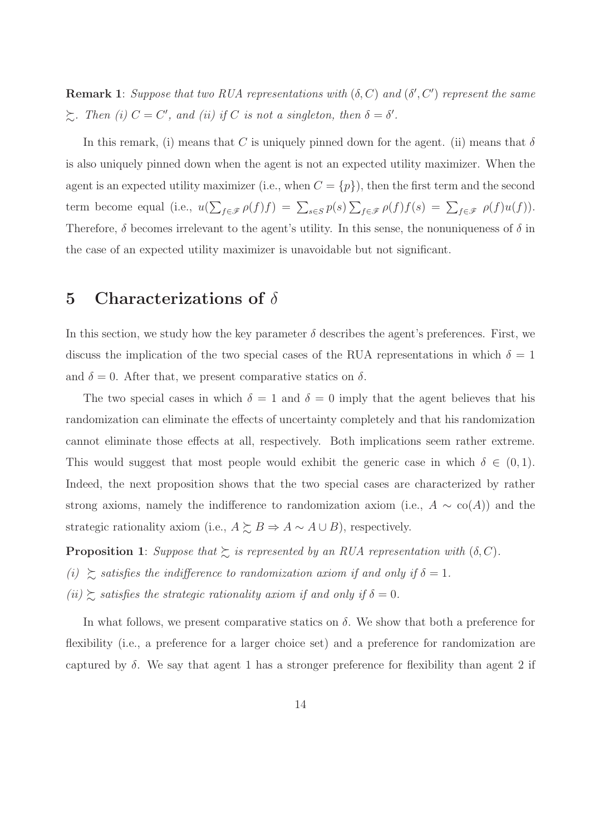**Remark 1**: Suppose that two RUA representations with  $(\delta, C)$  and  $(\delta', C')$  represent the same  $\sum$ . Then (i)  $C = C'$ , and (ii) if C is not a singleton, then  $\delta = \delta'$ .

In this remark, (i) means that C is uniquely pinned down for the agent. (ii) means that  $\delta$ is also uniquely pinned down when the agent is not an expected utility maximizer. When the agent is an expected utility maximizer (i.e., when  $C = \{p\}$ ), then the first term and the second term become equal (i.e.,  $u(\sum_{f \in \mathscr{F}} \rho(f)f) = \sum_{s \in S} p(s) \sum_{f \in \mathscr{F}} \rho(f)f(s) = \sum_{f \in \mathscr{F}} \rho(f)u(f)$ ). Therefore,  $\delta$  becomes irrelevant to the agent's utility. In this sense, the nonuniqueness of  $\delta$  in the case of an expected utility maximizer is unavoidable but not significant.

#### 5 Characterizations of  $\delta$

In this section, we study how the key parameter  $\delta$  describes the agent's preferences. First, we discuss the implication of the two special cases of the RUA representations in which  $\delta = 1$ and  $\delta = 0$ . After that, we present comparative statics on  $\delta$ .

The two special cases in which  $\delta = 1$  and  $\delta = 0$  imply that the agent believes that his randomization can eliminate the effects of uncertainty completely and that his randomization cannot eliminate those effects at all, respectively. Both implications seem rather extreme. This would suggest that most people would exhibit the generic case in which  $\delta \in (0,1)$ . Indeed, the next proposition shows that the two special cases are characterized by rather strong axioms, namely the indifference to randomization axiom (i.e.,  $A \sim \text{co}(A)$ ) and the strategic rationality axiom (i.e.,  $A \succeq B \Rightarrow A \sim A \cup B$ ), respectively.

**Proposition 1**: Suppose that  $\succeq$  is represented by an RUA representation with  $(\delta, C)$ .

(i)  $\gtrsim$  satisfies the indifference to randomization axiom if and only if  $\delta = 1$ .

(ii)  $\gtrsim$  satisfies the strategic rationality axiom if and only if  $\delta = 0$ .

In what follows, we present comparative statics on  $\delta$ . We show that both a preference for flexibility (i.e., a preference for a larger choice set) and a preference for randomization are captured by  $\delta$ . We say that agent 1 has a stronger preference for flexibility than agent 2 if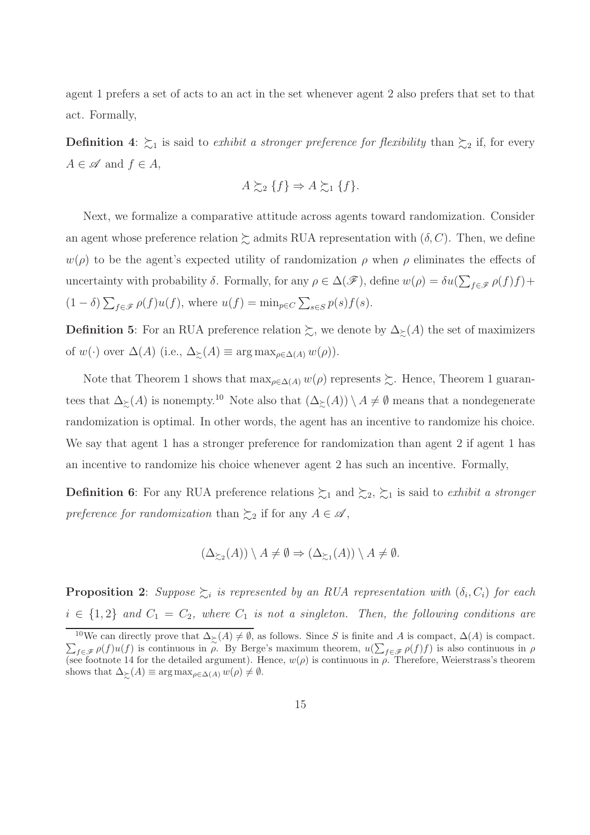agent 1 prefers a set of acts to an act in the set whenever agent 2 also prefers that set to that act. Formally,

**Definition 4:**  $\succsim_1$  is said to exhibit a stronger preference for flexibility than  $\succsim_2$  if, for every  $A \in \mathscr{A}$  and  $f \in A$ ,

$$
A \succsim_2 \{f\} \Rightarrow A \succsim_1 \{f\}.
$$

Next, we formalize a comparative attitude across agents toward randomization. Consider an agent whose preference relation  $\succsim$  admits RUA representation with  $(\delta, C)$ . Then, we define  $w(\rho)$  to be the agent's expected utility of randomization  $\rho$  when  $\rho$  eliminates the effects of uncertainty with probability  $\delta$ . Formally, for any  $\rho \in \Delta(\mathscr{F})$ , define  $w(\rho) = \delta u(\sum_{f \in \mathscr{F}} \rho(f)f) +$  $(1 - \delta) \sum_{f \in \mathcal{F}} \rho(f) u(f)$ , where  $u(f) = \min_{p \in C} \sum_{s \in S} p(s) f(s)$ .

**Definition 5:** For an RUA preference relation  $\succsim$ , we denote by  $\Delta_{\succcurlyeq}(A)$  the set of maximizers of  $w(\cdot)$  over  $\Delta(A)$  (i.e.,  $\Delta_{\succeq}(A) \equiv \arg \max_{\rho \in \Delta(A)} w(\rho)$ ).

Note that Theorem 1 shows that  $\max_{\rho \in \Delta(A)} w(\rho)$  represents  $\succeq$ . Hence, Theorem 1 guarantees that  $\Delta_{\succsim}(A)$  is nonempty.<sup>10</sup> Note also that  $(\Delta_{\succsim}(A)) \setminus A \neq \emptyset$  means that a nondegenerate randomization is optimal. In other words, the agent has an incentive to randomize his choice. We say that agent 1 has a stronger preference for randomization than agent 2 if agent 1 has an incentive to randomize his choice whenever agent 2 has such an incentive. Formally,

**Definition 6:** For any RUA preference relations  $\sum_1$  and  $\sum_2$ ,  $\sum_1$  is said to *exhibit a stronger* preference for randomization than  $\succsim_2$  if for any  $A \in \mathscr{A}$ ,

$$
(\Delta_{\succsim 2}(A)) \setminus A \neq \emptyset \Rightarrow (\Delta_{\succsim 1}(A)) \setminus A \neq \emptyset.
$$

**Proposition 2**: Suppose  $\succsim_i$  is represented by an RUA representation with  $(\delta_i, C_i)$  for each  $i \in \{1,2\}$  and  $C_1 = C_2$ , where  $C_1$  is not a singleton. Then, the following conditions are

 $\sum_{f \in \mathscr{F}} \rho(f) u(f)$  is continuous in  $\rho$ . By Berge's maximum theorem,  $u(\sum_{f \in \mathscr{F}} \rho(f)f)$  is also continuous in  $\rho$ <sup>10</sup>We can directly prove that  $\Delta_{\succ}(A) \neq \emptyset$ , as follows. Since S is finite and A is compact,  $\Delta(A)$  is compact. (see footnote 14 for the detailed argument). Hence,  $w(\rho)$  is continuous in  $\rho$ . Therefore, Weierstrass's theorem shows that  $\Delta_{\succsim}(A) \equiv \arg \max_{\rho \in \Delta(A)} w(\rho) \neq \emptyset$ .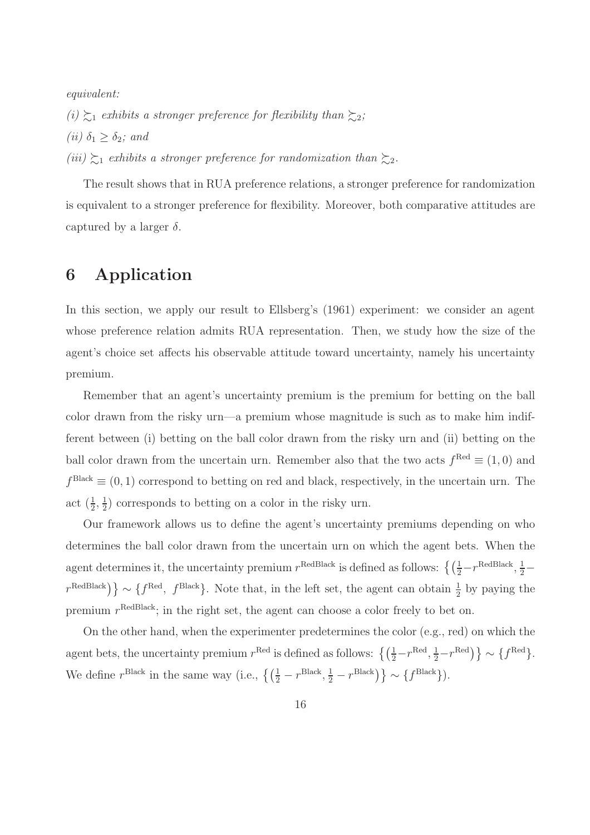equivalent:

(i)  $\gtrsim_1$  exhibits a stronger preference for flexibility than  $\gtrsim_2$ ; (*ii*)  $\delta_1 \geq \delta_2$ ; and (iii)  $\succsim_1$  exhibits a stronger preference for randomization than  $\succsim_2$ .

The result shows that in RUA preference relations, a stronger preference for randomization is equivalent to a stronger preference for flexibility. Moreover, both comparative attitudes are captured by a larger  $\delta$ .

# 6 Application

In this section, we apply our result to Ellsberg's (1961) experiment: we consider an agent whose preference relation admits RUA representation. Then, we study how the size of the agent's choice set affects his observable attitude toward uncertainty, namely his uncertainty premium.

Remember that an agent's uncertainty premium is the premium for betting on the ball color drawn from the risky urn—a premium whose magnitude is such as to make him indifferent between (i) betting on the ball color drawn from the risky urn and (ii) betting on the ball color drawn from the uncertain urn. Remember also that the two acts  $f^{\text{Red}} \equiv (1,0)$  and  $f<sup>Black</sup> \equiv (0, 1)$  correspond to betting on red and black, respectively, in the uncertain urn. The act  $\left(\frac{1}{2},\frac{1}{2}\right)$  $\frac{1}{2}$ ) corresponds to betting on a color in the risky urn.

Our framework allows us to define the agent's uncertainty premiums depending on who determines the ball color drawn from the uncertain urn on which the agent bets. When the agent determines it, the uncertainty premium  $r^{\text{RedBlack}}$  is defined as follows:  $\left\{ \left( \frac{1}{2} - r^{\text{RedBlack}}, \frac{1}{2} - \right) \right\}$  $r^{\text{RedBlack}}\$   $\} \sim \{f^{\text{Red}}, f^{\text{Black}}\}$ . Note that, in the left set, the agent can obtain  $\frac{1}{2}$  by paying the premium  $r^{\text{RedBlack}}$ ; in the right set, the agent can choose a color freely to bet on.

On the other hand, when the experimenter predetermines the color (e.g., red) on which the agent bets, the uncertainty premium  $r^{\text{Red}}$  is defined as follows:  $\left\{ \left( \frac{1}{2} - r^{\text{Red}}, \frac{1}{2} - r^{\text{Red}} \right) \right\} \sim \left\{ f^{\text{Red}} \right\}$ . We define  $r^{\text{Black}}$  in the same way (i.e.,  $\left\{ \left( \frac{1}{2} - r^{\text{Black}}, \frac{1}{2} - r^{\text{Black}} \right) \right\} \sim \left\{ f^{\text{Black}} \right\}$ ).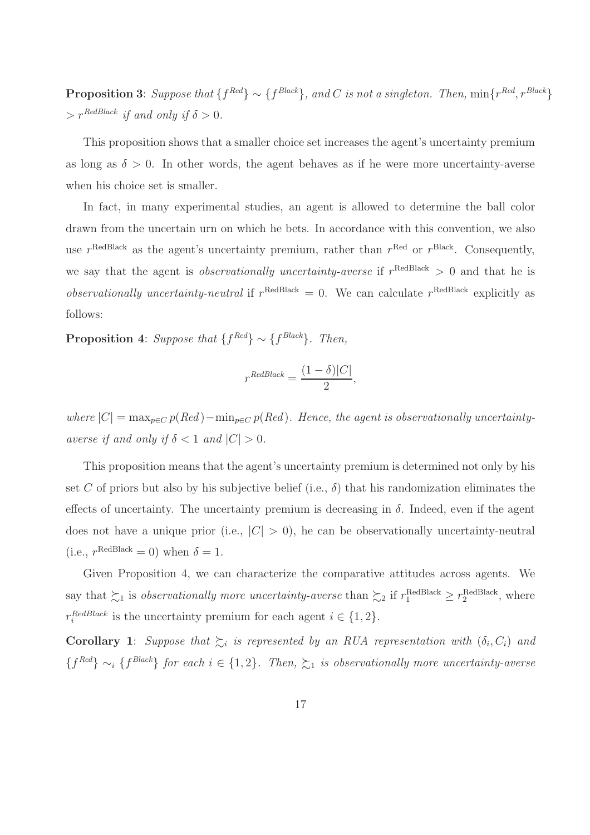**Proposition 3**: Suppose that  $\{f^{Red}\}\sim \{f^{Black}\},$  and C is not a singleton. Then,  $\min\{r^{Red}, r^{Black}\}$  $> r^{RedBlack}$  if and only if  $\delta > 0$ .

This proposition shows that a smaller choice set increases the agent's uncertainty premium as long as  $\delta > 0$ . In other words, the agent behaves as if he were more uncertainty-averse when his choice set is smaller.

In fact, in many experimental studies, an agent is allowed to determine the ball color drawn from the uncertain urn on which he bets. In accordance with this convention, we also use  $r^{\text{RedBlack}}$  as the agent's uncertainty premium, rather than  $r^{\text{Red}}$  or  $r^{\text{Black}}$ . Consequently, we say that the agent is *observationally uncertainty-averse* if  $r^{\text{RedBlack}} > 0$  and that he is observationally uncertainty-neutral if  $r^{\text{RedBlack}} = 0$ . We can calculate  $r^{\text{RedBlack}}$  explicitly as follows:

**Proposition 4:** Suppose that  $\{f^{Red}\}\sim \{f^{Black}\}\$ . Then,

$$
r^{RedBlack} = \frac{(1 - \delta)|C|}{2},
$$

where  $|C| = \max_{p \in C} p(Red) - \min_{p \in C} p(Red)$ . Hence, the agent is observationally uncertaintyaverse if and only if  $\delta < 1$  and  $|C| > 0$ .

This proposition means that the agent's uncertainty premium is determined not only by his set C of priors but also by his subjective belief (i.e.,  $\delta$ ) that his randomization eliminates the effects of uncertainty. The uncertainty premium is decreasing in  $\delta$ . Indeed, even if the agent does not have a unique prior (i.e.,  $|C| > 0$ ), he can be observationally uncertainty-neutral (i.e.,  $r^{\text{RedBlack}} = 0$ ) when  $\delta = 1$ .

Given Proposition 4, we can characterize the comparative attitudes across agents. We say that  $\succsim_1$  is *observationally more uncertainty-averse* than  $\succsim_2$  if  $r_1^{\text{RedBlack}} \geq r_2^{\text{RedBlack}}$ , where  $r_i^{RedBlack}$  is the uncertainty premium for each agent  $i \in \{1, 2\}.$ 

**Corollary 1**: Suppose that  $\sum_i$  is represented by an RUA representation with  $(\delta_i, C_i)$  and  ${f^{Red}} \sim_i {f^{Black}}$  for each  $i \in \{1,2\}$ . Then,  $\succsim_1$  is observationally more uncertainty-averse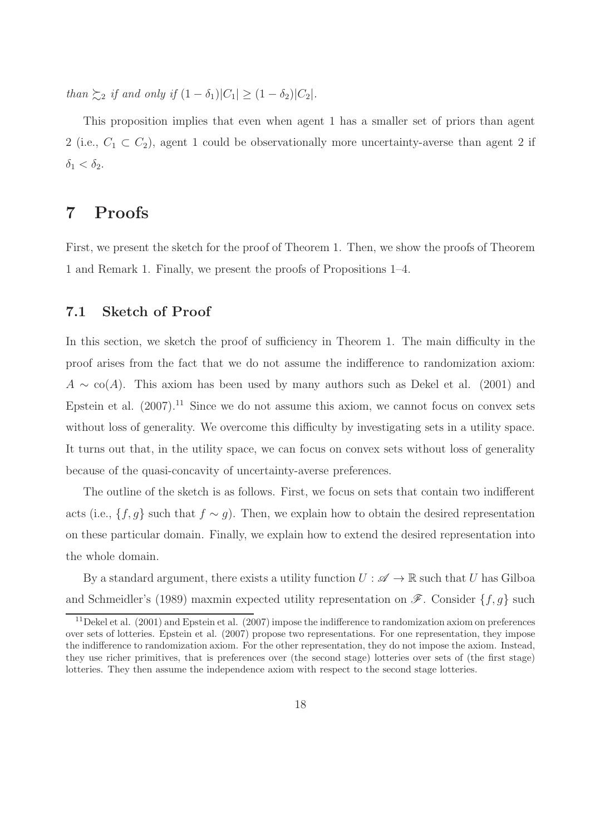than  $\sum_{i=2}$  if and only if  $(1 - \delta_1)|C_1| \geq (1 - \delta_2)|C_2|$ .

This proposition implies that even when agent 1 has a smaller set of priors than agent 2 (i.e.,  $C_1 \subset C_2$ ), agent 1 could be observationally more uncertainty-averse than agent 2 if  $\delta_1 < \delta_2$ .

## 7 Proofs

First, we present the sketch for the proof of Theorem 1. Then, we show the proofs of Theorem 1 and Remark 1. Finally, we present the proofs of Propositions 1–4.

#### 7.1 Sketch of Proof

In this section, we sketch the proof of sufficiency in Theorem 1. The main difficulty in the proof arises from the fact that we do not assume the indifference to randomization axiom:  $A \sim \text{co}(A)$ . This axiom has been used by many authors such as Dekel et al. (2001) and Epstein et al.  $(2007).<sup>11</sup>$  Since we do not assume this axiom, we cannot focus on convex sets without loss of generality. We overcome this difficulty by investigating sets in a utility space. It turns out that, in the utility space, we can focus on convex sets without loss of generality because of the quasi-concavity of uncertainty-averse preferences.

The outline of the sketch is as follows. First, we focus on sets that contain two indifferent acts (i.e.,  $\{f, g\}$  such that  $f \sim g$ ). Then, we explain how to obtain the desired representation on these particular domain. Finally, we explain how to extend the desired representation into the whole domain.

By a standard argument, there exists a utility function  $U : \mathscr{A} \to \mathbb{R}$  such that U has Gilboa and Schmeidler's (1989) maxmin expected utility representation on  $\mathscr{F}$ . Consider  $\{f, g\}$  such

<sup>&</sup>lt;sup>11</sup>Dekel et al. (2001) and Epstein et al. (2007) impose the indifference to randomization axiom on preferences over sets of lotteries. Epstein et al. (2007) propose two representations. For one representation, they impose the indifference to randomization axiom. For the other representation, they do not impose the axiom. Instead, they use richer primitives, that is preferences over (the second stage) lotteries over sets of (the first stage) lotteries. They then assume the independence axiom with respect to the second stage lotteries.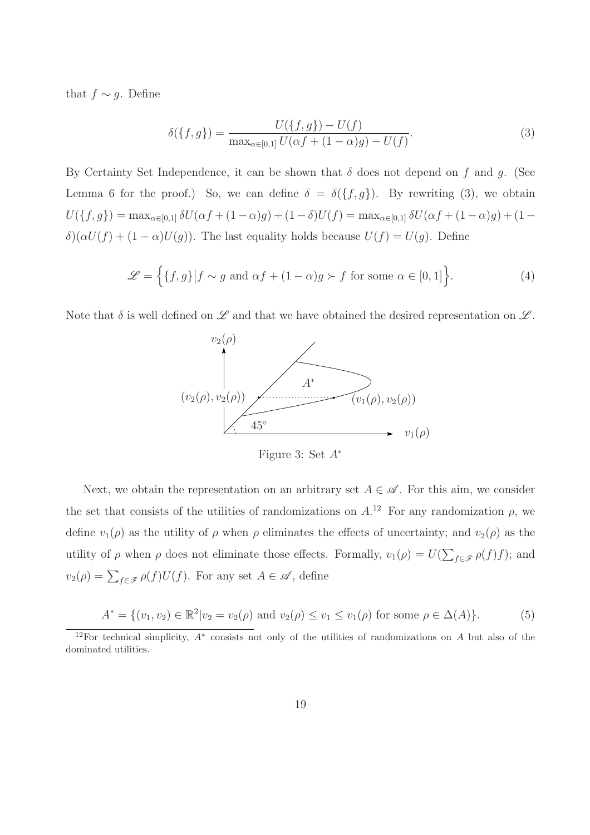that  $f \sim g$ . Define

$$
\delta(\{f,g\}) = \frac{U(\{f,g\}) - U(f)}{\max_{\alpha \in [0,1]} U(\alpha f + (1-\alpha)g) - U(f)}.\tag{3}
$$

By Certainty Set Independence, it can be shown that  $\delta$  does not depend on f and g. (See Lemma 6 for the proof.) So, we can define  $\delta = \delta({f, g})$ . By rewriting (3), we obtain  $U(\{f,g\}) = \max_{\alpha \in [0,1]} \delta U(\alpha f + (1-\alpha)g) + (1-\delta)U(f) = \max_{\alpha \in [0,1]} \delta U(\alpha f + (1-\alpha)g) + (1-\delta)U(f)$  $\delta(\alpha U(f) + (1 - \alpha)U(g))$ . The last equality holds because  $U(f) = U(g)$ . Define

$$
\mathcal{L} = \left\{ \{f, g\} \middle| f \sim g \text{ and } \alpha f + (1 - \alpha)g \succ f \text{ for some } \alpha \in [0, 1] \right\}.
$$
 (4)

Note that  $\delta$  is well defined on  $\mathscr L$  and that we have obtained the desired representation on  $\mathscr L$ .



Figure 3: Set  $A^*$ 

Next, we obtain the representation on an arbitrary set  $A \in \mathscr{A}$ . For this aim, we consider the set that consists of the utilities of randomizations on  $A^{12}$ . For any randomization  $\rho$ , we define  $v_1(\rho)$  as the utility of  $\rho$  when  $\rho$  eliminates the effects of uncertainty; and  $v_2(\rho)$  as the utility of  $\rho$  when  $\rho$  does not eliminate those effects. Formally,  $v_1(\rho) = U(\sum_{f \in \mathscr{F}} \rho(f)f)$ ; and  $v_2(\rho) = \sum_{f \in \mathscr{F}} \rho(f) U(f)$ . For any set  $A \in \mathscr{A}$ , define

$$
A^* = \{(v_1, v_2) \in \mathbb{R}^2 | v_2 = v_2(\rho) \text{ and } v_2(\rho) \le v_1 \le v_1(\rho) \text{ for some } \rho \in \Delta(A) \}. \tag{5}
$$

<sup>12</sup>For technical simplicity, A<sup>∗</sup> consists not only of the utilities of randomizations on A but also of the dominated utilities.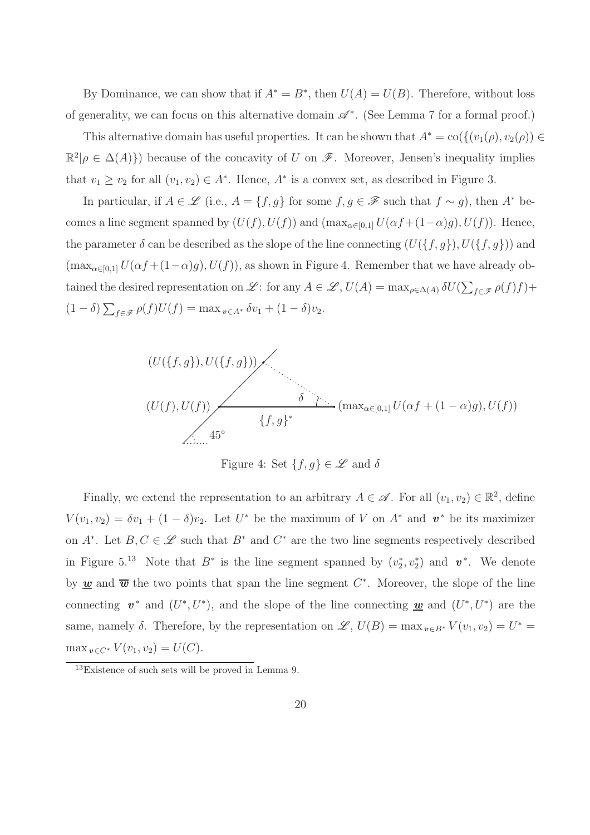By Dominance, we can show that if  $A^* = B^*$ , then  $U(A) = U(B)$ . Therefore, without loss of generality, we can focus on this alternative domain  $\mathscr{A}^*$ . (See Lemma 7 for a formal proof.)

This alternative domain has useful properties. It can be shown that  $A^* = \text{co}(\{(v_1(\rho), v_2(\rho)) \in$  $\mathbb{R}^2|\rho \in \Delta(A)\}\)$  because of the concavity of U on  $\mathscr{F}$ . Moreover, Jensen's inequality implies that  $v_1 \ge v_2$  for all  $(v_1, v_2) \in A^*$ . Hence,  $A^*$  is a convex set, as described in Figure 3.

In particular, if  $A \in \mathscr{L}$  (i.e.,  $A = \{f, g\}$  for some  $f, g \in \mathscr{F}$  such that  $f \sim g$ ), then  $A^*$  becomes a line segment spanned by  $(U(f), U(f))$  and  $(\max_{\alpha \in [0,1]} U(\alpha f + (1-\alpha)g), U(f))$ . Hence, the parameter  $\delta$  can be described as the slope of the line connecting  $(U(\lbrace f, g \rbrace), U(\lbrace f, g \rbrace))$  and  $(\max_{\alpha\in[0,1]} U(\alpha f+(1-\alpha)g), U(f)),$  as shown in Figure 4. Remember that we have already obtained the desired representation on L: for any  $A \in \mathscr{L}$ ,  $U(A) = \max_{\rho \in \Delta(A)} \delta U(\sum_{f \in \mathscr{F}} \rho(f)f) +$  $(1 - \delta) \sum_{f \in \mathscr{F}} \rho(f) U(f) = \max_{v \in A^*} \delta v_1 + (1 - \delta) v_2.$ 



Figure 4: Set  $\{f,g\} \in \mathscr{L}$  and  $\delta$ 

Finally, we extend the representation to an arbitrary  $A \in \mathscr{A}$ . For all  $(v_1, v_2) \in \mathbb{R}^2$ , define  $V(v_1, v_2) = \delta v_1 + (1 - \delta)v_2$ . Let  $U^*$  be the maximum of V on  $A^*$  and  $v^*$  be its maximizer on  $A^*$ . Let  $B, C \in \mathscr{L}$  such that  $B^*$  and  $C^*$  are the two line segments respectively described in Figure 5.<sup>13</sup> Note that  $B^*$  is the line segment spanned by  $(v_2^*, v_2^*)$  and  $v^*$ . We denote by  $\underline{\mathbf{w}}$  and  $\overline{\mathbf{w}}$  the two points that span the line segment  $C^*$ . Moreover, the slope of the line connecting  $v^*$  and  $(U^*, U^*)$ , and the slope of the line connecting <u>w</u> and  $(U^*, U^*)$  are the same, namely  $\delta$ . Therefore, by the representation on  $\mathscr{L}$ ,  $U(B) = \max_{v \in B^*} V(v_1, v_2) = U^* =$ max  $_{v \in C^*} V(v_1, v_2) = U(C)$ .

<sup>&</sup>lt;sup>13</sup>Existence of such sets will be proved in Lemma 9.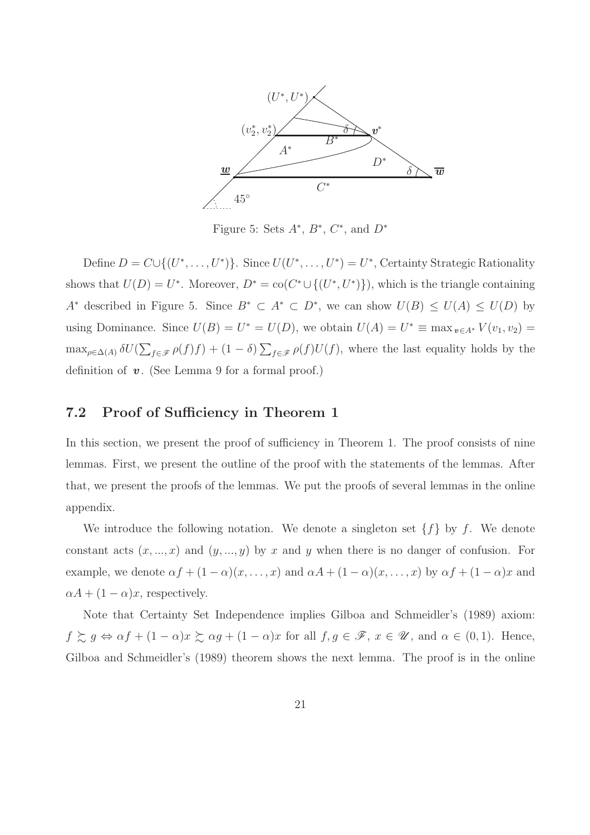

Figure 5: Sets  $A^*, B^*, C^*,$  and  $D^*$ 

Define  $D = C \cup \{(U^*, \ldots, U^*)\}$ . Since  $U(U^*, \ldots, U^*) = U^*$ , Certainty Strategic Rationality shows that  $U(D) = U^*$ . Moreover,  $D^* = \text{co}(C^* \cup \{(U^*, U^*)\})$ , which is the triangle containing A<sup>\*</sup> described in Figure 5. Since  $B^* \subset A^* \subset D^*$ , we can show  $U(B) \leq U(A) \leq U(D)$  by using Dominance. Since  $U(B) = U^* = U(D)$ , we obtain  $U(A) = U^* \equiv \max_{v \in A^*} V(v_1, v_2) =$  $\max_{\rho \in \Delta(A)} \delta U(\sum_{f \in \mathscr{F}} \rho(f)f) + (1-\delta) \sum_{f \in \mathscr{F}} \rho(f)U(f)$ , where the last equality holds by the definition of  $v$ . (See Lemma 9 for a formal proof.)

#### 7.2 Proof of Sufficiency in Theorem 1

In this section, we present the proof of sufficiency in Theorem 1. The proof consists of nine lemmas. First, we present the outline of the proof with the statements of the lemmas. After that, we present the proofs of the lemmas. We put the proofs of several lemmas in the online appendix.

We introduce the following notation. We denote a singleton set  $\{f\}$  by f. We denote constant acts  $(x, ..., x)$  and  $(y, ..., y)$  by x and y when there is no danger of confusion. For example, we denote  $\alpha f + (1 - \alpha)(x, \dots, x)$  and  $\alpha A + (1 - \alpha)(x, \dots, x)$  by  $\alpha f + (1 - \alpha)x$  and  $\alpha A + (1 - \alpha)x$ , respectively.

Note that Certainty Set Independence implies Gilboa and Schmeidler's (1989) axiom:  $f \gtrsim g \Leftrightarrow \alpha f + (1 - \alpha)x \gtrsim \alpha g + (1 - \alpha)x$  for all  $f, g \in \mathscr{F}$ ,  $x \in \mathscr{U}$ , and  $\alpha \in (0, 1)$ . Hence, Gilboa and Schmeidler's (1989) theorem shows the next lemma. The proof is in the online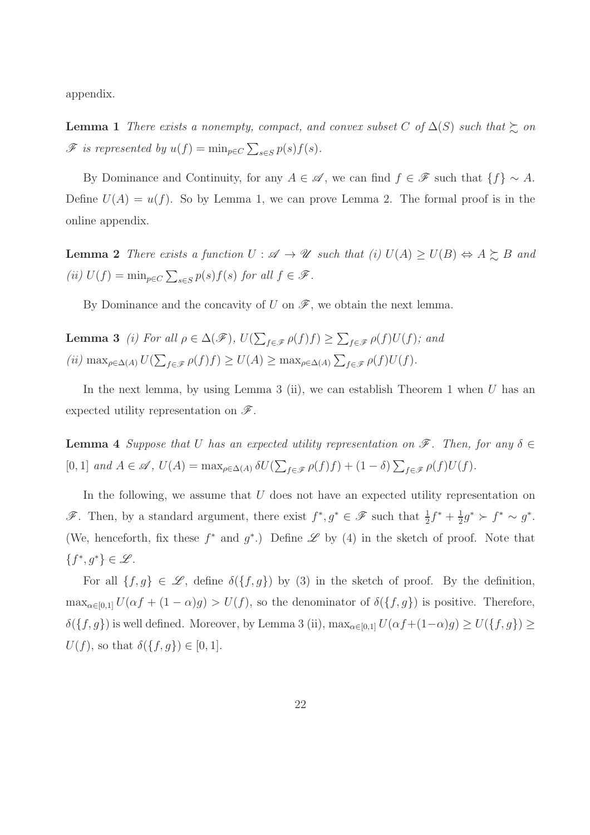appendix.

**Lemma 1** There exists a nonempty, compact, and convex subset C of  $\Delta(S)$  such that  $\succeq$  on  $\mathscr{F}$  is represented by  $u(f) = \min_{p \in C} \sum_{s \in S} p(s) f(s)$ .

By Dominance and Continuity, for any  $A \in \mathscr{A}$ , we can find  $f \in \mathscr{F}$  such that  $\{f\} \sim A$ . Define  $U(A) = u(f)$ . So by Lemma 1, we can prove Lemma 2. The formal proof is in the online appendix.

**Lemma 2** There exists a function  $U : \mathscr{A} \to \mathscr{U}$  such that (i)  $U(A) \geq U(B) \Leftrightarrow A \succsim B$  and (ii)  $U(f) = \min_{p \in C} \sum_{s \in S} p(s) f(s)$  for all  $f \in \mathcal{F}$ .

By Dominance and the concavity of U on  $\mathscr{F}$ , we obtain the next lemma.

**Lemma 3** (i) For all 
$$
\rho \in \Delta(\mathscr{F})
$$
,  $U(\sum_{f \in \mathscr{F}} \rho(f)f) \geq \sum_{f \in \mathscr{F}} \rho(f)U(f)$ ; and  
(ii)  $\max_{\rho \in \Delta(A)} U(\sum_{f \in \mathscr{F}} \rho(f)f) \geq U(A) \geq \max_{\rho \in \Delta(A)} \sum_{f \in \mathscr{F}} \rho(f)U(f)$ .

In the next lemma, by using Lemma 3 (ii), we can establish Theorem 1 when  $U$  has an expected utility representation on  $\mathscr{F}$ .

**Lemma 4** Suppose that U has an expected utility representation on  $\mathscr{F}$ . Then, for any  $\delta \in$ [0, 1] and  $A \in \mathscr{A}$ ,  $U(A) = \max_{\rho \in \Delta(A)} \delta U(\sum_{f \in \mathscr{F}} \rho(f)f) + (1 - \delta) \sum_{f \in \mathscr{F}} \rho(f)U(f)$ .

In the following, we assume that  $U$  does not have an expected utility representation on  $\mathscr{F}$ . Then, by a standard argument, there exist  $f^*, g^* \in \mathscr{F}$  such that  $\frac{1}{2}f^* + \frac{1}{2}$  $\frac{1}{2}g^* \succ f^* \sim g^*.$ (We, henceforth, fix these  $f^*$  and  $g^*$ .) Define  $\mathscr L$  by (4) in the sketch of proof. Note that  ${f^*, g^*} \in \mathscr{L}$ .

For all  $\{f,g\} \in \mathscr{L}$ , define  $\delta(\{f,g\})$  by (3) in the sketch of proof. By the definition,  $\max_{\alpha\in[0,1]} U(\alpha f + (1-\alpha)g) > U(f)$ , so the denominator of  $\delta(\lbrace f,g \rbrace)$  is positive. Therefore,  $\delta(\lbrace f, g \rbrace)$  is well defined. Moreover, by Lemma 3 (ii),  $\max_{\alpha \in [0,1]} U(\alpha f + (1-\alpha)g) \geq U(\lbrace f, g \rbrace) \geq$  $U(f)$ , so that  $\delta({f, g}) \in [0, 1]$ .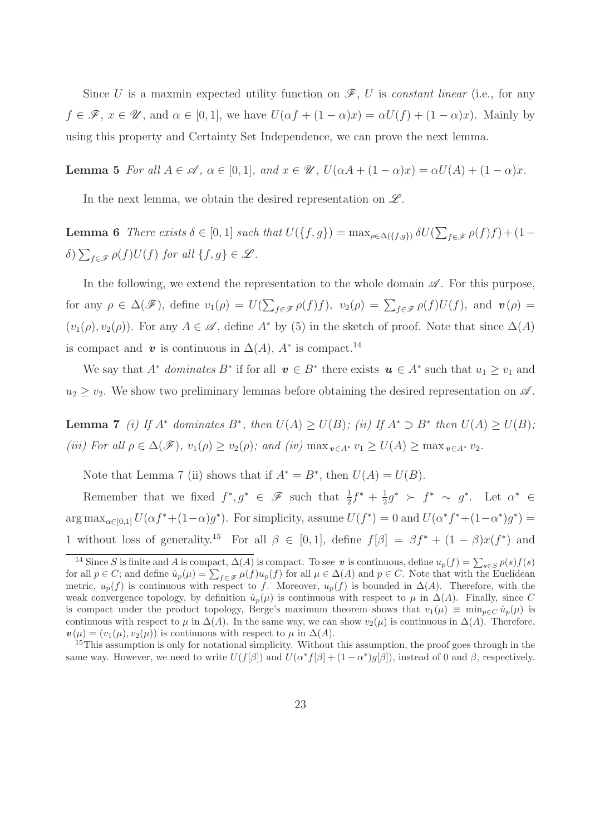Since U is a maxmin expected utility function on  $\mathscr{F}, U$  is constant linear (i.e., for any  $f \in \mathscr{F}$ ,  $x \in \mathscr{U}$ , and  $\alpha \in [0,1]$ , we have  $U(\alpha f + (1 - \alpha)x) = \alpha U(f) + (1 - \alpha)x$ . Mainly by using this property and Certainty Set Independence, we can prove the next lemma.

**Lemma 5** For all  $A \in \mathcal{A}$ ,  $\alpha \in [0,1]$ , and  $x \in \mathcal{U}$ ,  $U(\alpha A + (1 - \alpha)x) = \alpha U(A) + (1 - \alpha)x$ .

In the next lemma, we obtain the desired representation on  $\mathscr{L}$ .

**Lemma 6** There exists  $\delta \in [0,1]$  such that  $U(\lbrace f, g \rbrace) = \max_{\rho \in \Delta(\lbrace f, g \rbrace)} \delta U(\sum_{f \in \mathscr{F}} \rho(f)f) + (1-\rho(f))$  $\delta) \sum_{f \in \mathscr{F}} \rho(f) U(f)$  for all  $\{f, g\} \in \mathscr{L}$ .

In the following, we extend the representation to the whole domain  $\mathscr A$ . For this purpose, for any  $\rho \in \Delta(\mathscr{F})$ , define  $v_1(\rho) = U(\sum_{f \in \mathscr{F}} \rho(f)f)$ ,  $v_2(\rho) = \sum_{f \in \mathscr{F}} \rho(f)U(f)$ , and  $\boldsymbol{v}(\rho) =$  $(v_1(\rho), v_2(\rho))$ . For any  $A \in \mathscr{A}$ , define  $A^*$  by (5) in the sketch of proof. Note that since  $\Delta(A)$ is compact and v is continuous in  $\Delta(A)$ ,  $A^*$  is compact.<sup>14</sup>

We say that  $A^*$  dominates  $B^*$  if for all  $v \in B^*$  there exists  $u \in A^*$  such that  $u_1 \ge v_1$  and  $u_2 \geq v_2$ . We show two preliminary lemmas before obtaining the desired representation on  $\mathscr A$ .

**Lemma 7** (i) If  $A^*$  dominates  $B^*$ , then  $U(A) \geq U(B)$ ; (ii) If  $A^* \supset B^*$  then  $U(A) \geq U(B)$ ; (iii) For all  $\rho \in \Delta(\mathscr{F})$ ,  $v_1(\rho) \ge v_2(\rho)$ ; and (iv)  $\max_{v \in A^*} v_1 \ge U(A) \ge \max_{v \in A^*} v_2$ .

Note that Lemma 7 (ii) shows that if  $A^* = B^*$ , then  $U(A) = U(B)$ .

Remember that we fixed  $f^*, g^* \in \mathscr{F}$  such that  $\frac{1}{2}f^* + \frac{1}{2}$  $\frac{1}{2}g^*$  ≻  $f^*$  ~  $g^*$ . Let  $\alpha^*$  ∈  $\arg \max_{\alpha \in [0,1]} U(\alpha f^* + (1-\alpha)g^*)$ . For simplicity, assume  $U(f^*) = 0$  and  $U(\alpha^* f^* + (1-\alpha^*)g^*) =$ 1 without loss of generality.<sup>15</sup> For all  $\beta \in [0,1]$ , define  $f[\beta] = \beta f^* + (1 - \beta)x(f^*)$  and

<sup>&</sup>lt;sup>14</sup> Since S is finite and A is compact,  $\Delta(A)$  is compact. To see v is continuous, define  $u_p(f) = \sum_{s \in S} p(s) f(s)$ for all  $p \in C$ ; and define  $\hat{u}_p(\mu) = \sum_{f \in \mathscr{F}} \mu(f) u_p(f)$  for all  $\mu \in \Delta(A)$  and  $p \in C$ . Note that with the Euclidean metric,  $u_p(f)$  is continuous with respect to f. Moreover,  $u_p(f)$  is bounded in  $\Delta(A)$ . Therefore, with the weak convergence topology, by definition  $\hat{u}_n(\mu)$  is continuous with respect to  $\mu$  in  $\Delta(A)$ . Finally, since C is compact under the product topology, Berge's maximum theorem shows that  $v_1(\mu) \equiv \min_{p \in C} \hat{u}_p(\mu)$  is continuous with respect to  $\mu$  in  $\Delta(A)$ . In the same way, we can show  $v_2(\mu)$  is continuous in  $\Delta(A)$ . Therefore,  $\mathbf{v}(\mu) = (v_1(\mu), v_2(\mu))$  is continuous with respect to  $\mu$  in  $\Delta(A)$ .

<sup>&</sup>lt;sup>15</sup>This assumption is only for notational simplicity. Without this assumption, the proof goes through in the same way. However, we need to write  $U(f[\beta])$  and  $U(\alpha^* f[\beta] + (1 - \alpha^*) g[\beta])$ , instead of 0 and  $\beta$ , respectively.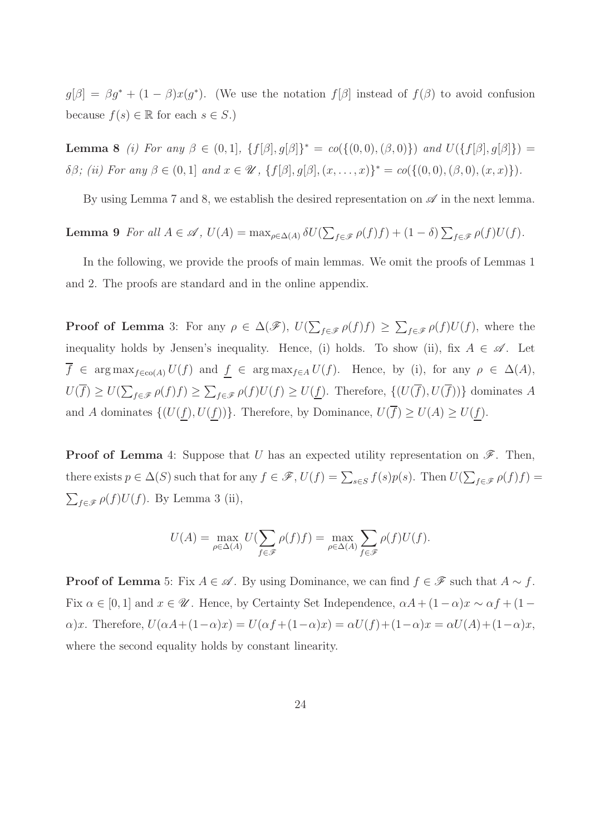$g[\beta] = \beta g^* + (1 - \beta)x(g^*)$ . (We use the notation  $f[\beta]$  instead of  $f(\beta)$  to avoid confusion because  $f(s) \in \mathbb{R}$  for each  $s \in S$ .)

**Lemma 8** (i) For any  $\beta \in (0,1], \{f[\beta], g[\beta]\}^* = co(\{(0,0), (\beta,0)\})$  and  $U(\{f[\beta], g[\beta]\}) =$ δβ; (ii) For any β ∈ (0, 1] and  $x \in \mathcal{U}$ , { $f[\beta], g[\beta], (x, ..., x)$ }<sup>\*</sup> = co({(0,0), (β,0), (x, x)}).

By using Lemma 7 and 8, we establish the desired representation on  $\mathscr A$  in the next lemma.

**Lemma 9** For all 
$$
A \in \mathcal{A}
$$
,  $U(A) = \max_{\rho \in \Delta(A)} \delta U(\sum_{f \in \mathcal{F}} \rho(f)f) + (1 - \delta) \sum_{f \in \mathcal{F}} \rho(f)U(f)$ .

In the following, we provide the proofs of main lemmas. We omit the proofs of Lemmas 1 and 2. The proofs are standard and in the online appendix.

**Proof of Lemma** 3: For any  $\rho \in \Delta(\mathscr{F})$ ,  $U(\sum_{f \in \mathscr{F}} \rho(f)f) \geq \sum_{f \in \mathscr{F}} \rho(f)U(f)$ , where the inequality holds by Jensen's inequality. Hence, (i) holds. To show (ii), fix  $A \in \mathscr{A}$ . Let  $\overline{f} \in \arg \max_{f \in \text{co}(A)} U(f)$  and  $f \in \arg \max_{f \in A} U(f)$ . Hence, by (i), for any  $\rho \in \Delta(A)$ ,  $U(f) \geq U(\sum_{f \in \mathscr{F}} \rho(f)f) \geq \sum_{f \in \mathscr{F}} \rho(f)U(f) \geq U(\underline{f})$ . Therefore,  $\{(U(f), U(f))\}$  dominates A and A dominates  $\{(U(\underline{f}), U(\underline{f}))\}$ . Therefore, by Dominance,  $U(\overline{f}) \geq U(A) \geq U(\underline{f})$ .

**Proof of Lemma** 4: Suppose that U has an expected utility representation on  $\mathscr{F}$ . Then, there exists  $p \in \Delta(S)$  such that for any  $f \in \mathscr{F}$ ,  $U(f) = \sum_{s \in S} f(s)p(s)$ . Then  $U(\sum_{f \in \mathscr{F}} \rho(f)f)$  $\sum_{f \in \mathscr{F}} \rho(f) U(f)$ . By Lemma 3 (ii),

$$
U(A) = \max_{\rho \in \Delta(A)} U(\sum_{f \in \mathscr{F}} \rho(f)f) = \max_{\rho \in \Delta(A)} \sum_{f \in \mathscr{F}} \rho(f)U(f).
$$

**Proof of Lemma** 5: Fix  $A \in \mathcal{A}$ . By using Dominance, we can find  $f \in \mathcal{F}$  such that  $A \sim f$ . Fix  $\alpha \in [0,1]$  and  $x \in \mathscr{U}$ . Hence, by Certainty Set Independence,  $\alpha A + (1-\alpha)x \sim \alpha f + (1-\alpha)\alpha$  $\alpha$ )x. Therefore,  $U(\alpha A+(1-\alpha)x)=U(\alpha f+(1-\alpha)x)=\alpha U(f)+(1-\alpha)x=\alpha U(A)+(1-\alpha)x,$ where the second equality holds by constant linearity.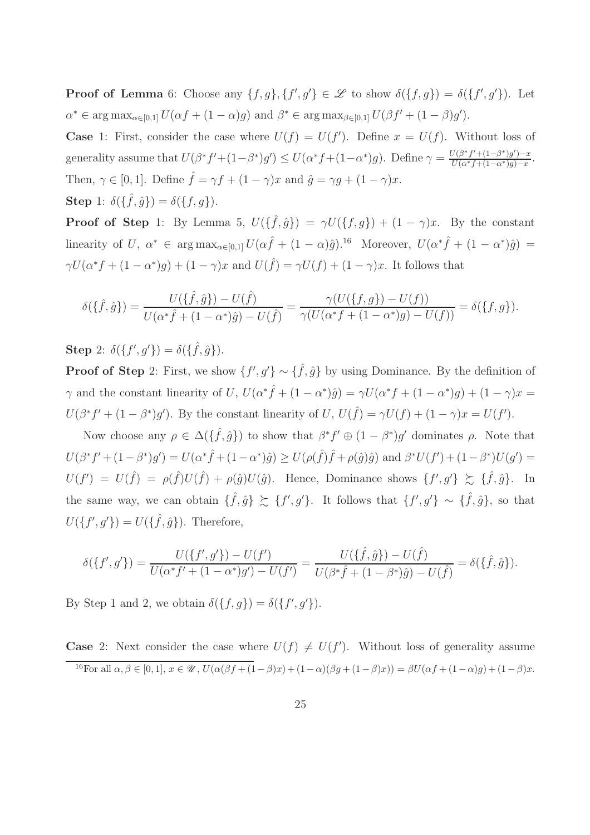**Proof of Lemma** 6: Choose any  $\{f,g\},\{f',g'\}\in\mathscr{L}$  to show  $\delta(\{f,g\})=\delta(\{f',g'\})$ . Let  $\alpha^* \in \arg \max_{\alpha \in [0,1]} U(\alpha f + (1 - \alpha)g)$  and  $\beta^* \in \arg \max_{\beta \in [0,1]} U(\beta f' + (1 - \beta)g')$ .

**Case** 1: First, consider the case where  $U(f) = U(f')$ . Define  $x = U(f)$ . Without loss of generality assume that  $U(\beta^* f' + (1-\beta^*)g') \leq U(\alpha^* f + (1-\alpha^*)g)$ . Define  $\gamma = \frac{U(\beta^* f' + (1-\beta^*)g') - x}{U(\alpha^* f + (1-\alpha^*)g) - x}$ . Then,  $\gamma \in [0, 1]$ . Define  $\hat{f} = \gamma f + (1 - \gamma)x$  and  $\hat{g} = \gamma g + (1 - \gamma)x$ . **Step** 1:  $\delta(\{\hat{f}, \hat{g}\}) = \delta(\{f, g\}).$ 

**Proof of Step** 1: By Lemma 5,  $U(\{\hat{f}, \hat{g}\}) = \gamma U(\{f, g\}) + (1 - \gamma)x$ . By the constant linearity of U,  $\alpha^* \in \arg \max_{\alpha \in [0,1]} U(\alpha \hat{f} + (1 - \alpha)\hat{g})^{\alpha}$ . Moreover,  $U(\alpha^* \hat{f} + (1 - \alpha^*) \hat{g}) =$  $\gamma U(\alpha^* f + (1 - \alpha^*) g) + (1 - \gamma)x$  and  $U(\hat{f}) = \gamma U(f) + (1 - \gamma)x$ . It follows that

$$
\delta(\{\hat{f},\hat{g}\}) = \frac{U(\{\hat{f},\hat{g}\}) - U(\hat{f})}{U(\alpha^*\hat{f} + (1-\alpha^*)\hat{g}) - U(\hat{f})} = \frac{\gamma(U(\{f,g\}) - U(f))}{\gamma(U(\alpha^*f + (1-\alpha^*)g) - U(f))} = \delta(\{f,g\}).
$$

Step 2:  $\delta({f', g'}) = \delta({\hat{f}, \hat{g}}).$ 

**Proof of Step** 2: First, we show  $\{f', g'\} \sim \{\hat{f}, \hat{g}\}$  by using Dominance. By the definition of  $\gamma$  and the constant linearity of U,  $U(\alpha^*\hat{f} + (1 - \alpha^*)\hat{g}) = \gamma U(\alpha^*f + (1 - \alpha^*)g) + (1 - \gamma)x =$  $U(\beta^* f' + (1 - \beta^*) g')$ . By the constant linearity of U,  $U(\hat{f}) = \gamma U(f) + (1 - \gamma)x = U(f')$ .

Now choose any  $\rho \in \Delta(\{\hat{f},\hat{g}\})$  to show that  $\beta^* f' \oplus (1-\beta^*) g'$  dominates  $\rho$ . Note that  $U(\beta^* f' + (1 - \beta^*) g') = U(\alpha^* \hat{f} + (1 - \alpha^*) \hat{g}) \geq U(\rho(\hat{f}) \hat{f} + \rho(\hat{g}) \hat{g})$  and  $\beta^* U(f') + (1 - \beta^*) U(g') =$  $U(f') = U(\hat{f}) = \rho(\hat{f})U(\hat{f}) + \rho(\hat{g})U(\hat{g})$ . Hence, Dominance shows  $\{f', g'\} \succeq \{\hat{f}, \hat{g}\}$ . In the same way, we can obtain  $\{\hat{f}, \hat{g}\} \succsim \{f', g'\}$ . It follows that  $\{f', g'\} \sim \{\hat{f}, \hat{g}\}$ , so that  $U(\lbrace f', g' \rbrace) = U(\lbrace \hat{f}, \hat{g} \rbrace)$ . Therefore,

$$
\delta(\{f',g'\}) = \frac{U(\{f',g'\}) - U(f')}{U(\alpha^* f' + (1 - \alpha^*)g') - U(f')} = \frac{U(\{\hat{f},\hat{g}\}) - U(\hat{f})}{U(\beta^* \hat{f} + (1 - \beta^*)\hat{g}) - U(\hat{f})} = \delta(\{\hat{f},\hat{g}\}).
$$

By Step 1 and 2, we obtain  $\delta({f, g}) = \delta({f', g')}$ .

**Case** 2: Next consider the case where  $U(f) \neq U(f')$ . Without loss of generality assume <sup>16</sup>For all  $\alpha, \beta \in [0, 1], x \in \mathcal{U}$ ,  $U(\alpha(\beta f + (1-\beta)x) + (1-\alpha)(\beta g + (1-\beta)x)) = \beta U(\alpha f + (1-\alpha)g) + (1-\beta)x$ .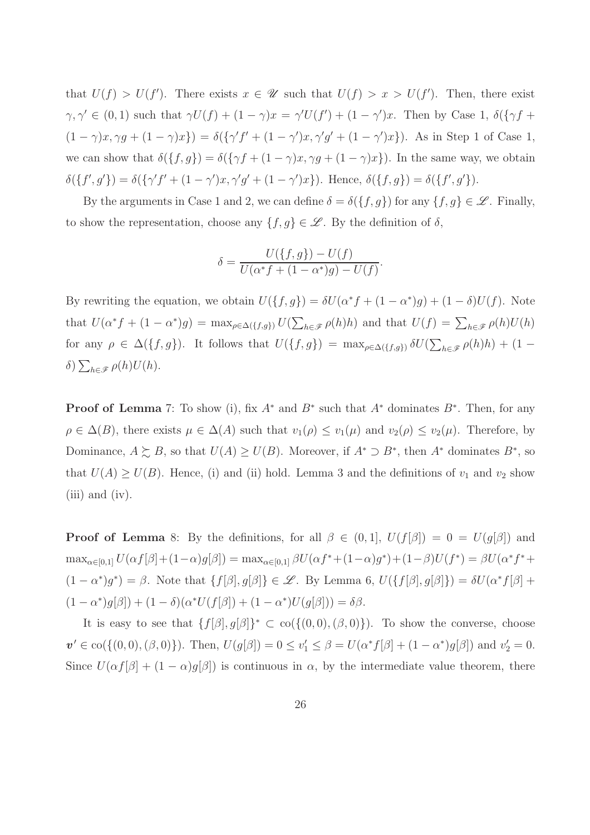that  $U(f) > U(f')$ . There exists  $x \in \mathscr{U}$  such that  $U(f) > x > U(f')$ . Then, there exist  $\gamma, \gamma' \in (0,1)$  such that  $\gamma U(f) + (1 - \gamma)x = \gamma' U(f') + (1 - \gamma')x$ . Then by Case 1,  $\delta(\gamma f +$  $(1 - \gamma)x, \gamma g + (1 - \gamma)x$ ) =  $\delta(\{\gamma' f' + (1 - \gamma')x, \gamma' g' + (1 - \gamma')x\})$ . As in Step 1 of Case 1, we can show that  $\delta({f, g}) = \delta({\gamma f + (1 - \gamma)x, \gamma g + (1 - \gamma)x})$ . In the same way, we obtain  $\delta({f', g'}) = \delta({\gamma' f' + (1 - \gamma')x, \gamma' g' + (1 - \gamma')x}).$  Hence,  $\delta({f, g}) = \delta({f', g')}$ .

By the arguments in Case 1 and 2, we can define  $\delta = \delta({f, g})$  for any  ${f, g} \in \mathscr{L}$ . Finally, to show the representation, choose any  $\{f, g\} \in \mathscr{L}$ . By the definition of  $\delta$ ,

$$
\delta = \frac{U(\{f, g\}) - U(f)}{U(\alpha^* f + (1 - \alpha^*) g) - U(f)}.
$$

By rewriting the equation, we obtain  $U(\lbrace f, g \rbrace) = \delta U(\alpha^* f + (1 - \alpha^*) g) + (1 - \delta) U(f)$ . Note that  $U(\alpha^* f + (1 - \alpha^*) g) = \max_{\rho \in \Delta(\{f,g\})} U(\sum_{h \in \mathcal{F}} \rho(h) h)$  and that  $U(f) = \sum_{h \in \mathcal{F}} \rho(h) U(h)$ for any  $\rho \in \Delta({f, g})$ . It follows that  $U({f, g}) = \max_{\rho \in \Delta({f, g})} \delta U(\sum_{h \in \mathscr{F}} \rho(h)h) + (1 - \Delta)$ δ)  $\sum_{h \in \mathscr{F}} \rho(h)U(h)$ .

**Proof of Lemma** 7: To show (i), fix  $A^*$  and  $B^*$  such that  $A^*$  dominates  $B^*$ . Then, for any  $\rho \in \Delta(B)$ , there exists  $\mu \in \Delta(A)$  such that  $v_1(\rho) \le v_1(\mu)$  and  $v_2(\rho) \le v_2(\mu)$ . Therefore, by Dominance,  $A \succeq B$ , so that  $U(A) \geq U(B)$ . Moreover, if  $A^* \supset B^*$ , then  $A^*$  dominates  $B^*$ , so that  $U(A) \geq U(B)$ . Hence, (i) and (ii) hold. Lemma 3 and the definitions of  $v_1$  and  $v_2$  show (iii) and (iv).

**Proof of Lemma** 8: By the definitions, for all  $\beta \in (0,1], U(f[\beta]) = 0 = U(g[\beta])$  and  $\max_{\alpha \in [0,1]} U(\alpha f[\beta] + (1-\alpha)g[\beta]) = \max_{\alpha \in [0,1]} \beta U(\alpha f^* + (1-\alpha)g^*) + (1-\beta)U(f^*) = \beta U(\alpha^* f^* +$  $(1-\alpha^*)g^* = \beta$ . Note that  $\{f[\beta], g[\beta]\}\in \mathscr{L}$ . By Lemma 6,  $U(\{f[\beta], g[\beta]\}) = \delta U(\alpha^* f[\beta] +$  $(1 - \alpha^*)g[\beta] + (1 - \delta)(\alpha^*U(f[\beta]) + (1 - \alpha^*)U(g[\beta])) = \delta\beta.$ 

It is easy to see that  $\{f[\beta], g[\beta]\}^* \subset \text{co}(\{(0,0),(\beta,0)\})$ . To show the converse, choose  $v' \in \text{co}(\{(0,0),(\beta,0)\})$ . Then,  $U(g[\beta]) = 0 \le v_1' \le \beta = U(\alpha^* f[\beta] + (1 - \alpha^*) g[\beta])$  and  $v_2' = 0$ . Since  $U(\alpha f|\beta] + (1 - \alpha)g|\beta|$  is continuous in  $\alpha$ , by the intermediate value theorem, there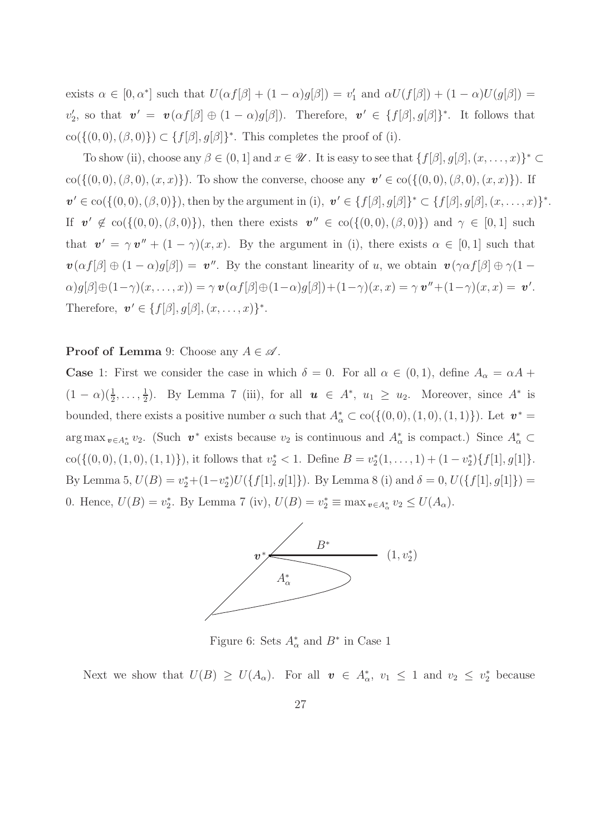exists  $\alpha \in [0, \alpha^*]$  such that  $U(\alpha f[\beta] + (1 - \alpha)g[\beta]) = v'_1$  and  $\alpha U(f[\beta]) + (1 - \alpha)U(g[\beta]) =$  $v'_2$ , so that  $\mathbf{v}' = \mathbf{v}(\alpha f[\beta] \oplus (1-\alpha)g[\beta])$ . Therefore,  $\mathbf{v}' \in \{f[\beta], g[\beta]\}^*$ . It follows that  $\text{co}(\{(0,0),(\beta,0)\}) \subset \{f[\beta], g[\beta]\}^*$ . This completes the proof of (i).

To show (ii), choose any  $\beta \in (0,1]$  and  $x \in \mathscr{U}$ . It is easy to see that  $\{f[\beta], g[\beta], (x, \ldots, x)\}^* \subset$  $co({(0,0), (\beta, 0), (x, x)}).$  To show the converse, choose any  $v' \in co({(0,0), (\beta, 0), (x, x)}).$  If  $\mathbf{v}' \in \text{co}(\{(0,0),(\beta,0)\})$ , then by the argument in (i),  $\mathbf{v}' \in \{f[\beta], g[\beta]\}^* \subset \{f[\beta], g[\beta], (x, \ldots, x)\}^*$ . If  $v' \notin \text{co}(\{(0,0),(\beta,0)\})$ , then there exists  $v'' \in \text{co}(\{(0,0),(\beta,0)\})$  and  $\gamma \in [0,1]$  such that  $v' = \gamma v'' + (1 - \gamma)(x, x)$ . By the argument in (i), there exists  $\alpha \in [0, 1]$  such that  $\mathbf{v}(\alpha f[\beta] \oplus (1-\alpha)g[\beta]) = \mathbf{v}''$ . By the constant linearity of u, we obtain  $\mathbf{v}(\gamma \alpha f[\beta] \oplus \gamma(1-\gamma)g[\beta])$  $\alpha)g[\beta]\oplus(1-\gamma)(x,\ldots,x))=\gamma\,\bm{v}(\alpha f[\beta]\oplus(1-\alpha)g[\beta])+(1-\gamma)(x,x)=\gamma\,\bm{v}''+(1-\gamma)(x,x)=\bm{v}'.$ Therefore,  $\mathbf{v}' \in \{f[\beta], g[\beta], (x, \ldots, x)\}^*$ .

#### **Proof of Lemma** 9: Choose any  $A \in \mathcal{A}$ .

**Case** 1: First we consider the case in which  $\delta = 0$ . For all  $\alpha \in (0,1)$ , define  $A_{\alpha} = \alpha A +$  $(1 - \alpha)(\frac{1}{2}, \ldots, \frac{1}{2})$  $\frac{1}{2}$ ). By Lemma 7 (iii), for all  $u \in A^*$ ,  $u_1 \ge u_2$ . Moreover, since  $A^*$  is bounded, there exists a positive number  $\alpha$  such that  $A^*_{\alpha} \subset \text{co}(\{(0,0), (1,0), (1,1)\})$ . Let  $\mathbf{v}^* =$  $\arg \max_{v \in A_{\alpha}^*} v_2$ . (Such  $v^*$  exists because  $v_2$  is continuous and  $A_{\alpha}^*$  is compact.) Since  $A_{\alpha}^* \subset$  $\text{co}(\{(0,0), (1,0), (1,1)\})$ , it follows that  $v_2^* < 1$ . Define  $B = v_2^*(1, \ldots, 1) + (1 - v_2^*)\{f[1], g[1]\}$ . By Lemma 5,  $U(B) = v_2^* + (1 - v_2^*)U(\{f[1], g[1]\})$ . By Lemma 8 (i) and  $\delta = 0$ ,  $U(\{f[1], g[1]\}) =$ 0. Hence,  $U(B) = v_2^*$ . By Lemma 7 (iv),  $U(B) = v_2^* \equiv \max_{v \in A_\alpha^*} v_2 \leq U(A_\alpha)$ .



Figure 6: Sets  $A^*_{\alpha}$  and  $B^*$  in Case 1

Next we show that  $U(B) \ge U(A_\alpha)$ . For all  $\mathbf{v} \in A_\alpha^*$ ,  $v_1 \le 1$  and  $v_2 \le v_2^*$  because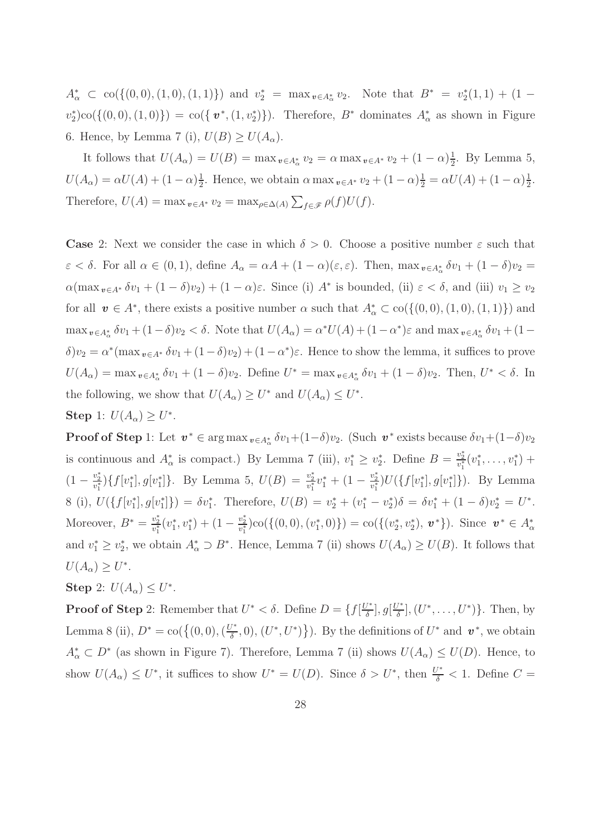$A^*_{\alpha} \subset {\rm co}(\{(0,0), (1,0), (1,1)\})$  and  $v_2^* = {\rm max}_{v \in A^*_{\alpha}} v_2$ . Note that  $B^* = v_2^*(1,1) + (1$  $v_2^*\text{e}(\{(0,0),(1,0)\}) = \text{co}(\{v^*,(1,v_2^*)\})$ . Therefore,  $B^*$  dominates  $A^*_{\alpha}$  as shown in Figure 6. Hence, by Lemma 7 (i),  $U(B) \ge U(A_\alpha)$ .

It follows that  $U(A_{\alpha}) = U(B) = \max_{v \in A_{\alpha}^{*}} v_{2} = \alpha \max_{v \in A^{*}} v_{2} + (1 - \alpha) \frac{1}{2}$  $\frac{1}{2}$ . By Lemma 5,  $U(A_{\alpha}) = \alpha U(A) + (1 - \alpha) \frac{1}{2}$  $\frac{1}{2}$ . Hence, we obtain  $\alpha \max_{v \in A^*} v_2 + (1 - \alpha) \frac{1}{2} = \alpha U(A) + (1 - \alpha) \frac{1}{2}$  $\frac{1}{2}$ . Therefore,  $U(A) = \max_{v \in A^*} v_2 = \max_{\rho \in \Delta(A)} \sum_{f \in \mathscr{F}} \rho(f) U(f)$ .

**Case** 2: Next we consider the case in which  $\delta > 0$ . Choose a positive number  $\varepsilon$  such that  $\varepsilon < \delta$ . For all  $\alpha \in (0,1)$ , define  $A_{\alpha} = \alpha A + (1-\alpha)(\varepsilon, \varepsilon)$ . Then,  $\max_{v \in A_{\alpha}^*} \delta v_1 + (1-\delta)v_2 =$  $\alpha(\max_{v \in A^*} \delta v_1 + (1 - \delta)v_2) + (1 - \alpha)\varepsilon$ . Since (i)  $A^*$  is bounded, (ii)  $\varepsilon < \delta$ , and (iii)  $v_1 \ge v_2$ for all  $\mathbf{v} \in A^*$ , there exists a positive number  $\alpha$  such that  $A^*_{\alpha} \subset \text{co}(\{(0,0), (1,0), (1,1)\})$  and  $\max_{v \in A_{\alpha}^*} \delta v_1 + (1 - \delta)v_2 < \delta$ . Note that  $U(A_{\alpha}) = \alpha^* U(A) + (1 - \alpha^*)\varepsilon$  and  $\max_{v \in A_{\alpha}^*} \delta v_1 + (1 - \delta)v_2 < \delta$ .  $\delta$ ) $v_2 = \alpha^*$ (max  $v \in A^*$   $\delta v_1 + (1 - \delta)v_2$ ) +  $(1 - \alpha^*)\varepsilon$ . Hence to show the lemma, it suffices to prove  $U(A_\alpha) = \max_{v \in A_\alpha^*} \delta v_1 + (1 - \delta)v_2$ . Define  $U^* = \max_{v \in A_\alpha^*} \delta v_1 + (1 - \delta)v_2$ . Then,  $U^* < \delta$ . In the following, we show that  $U(A_\alpha) \geq U^*$  and  $U(A_\alpha) \leq U^*$ . Step 1:  $U(A_\alpha) \geq U^*$ .

**Proof of Step** 1: Let  $v^* \in \arg \max_{v \in A_{\alpha}^*} \delta v_1 + (1-\delta)v_2$ . (Such  $v^*$  exists because  $\delta v_1 + (1-\delta)v_2$ is continuous and  $A^*_{\alpha}$  is compact.) By Lemma 7 (iii),  $v^*_1 \ge v^*_2$ . Define  $B = \frac{v^*_2}{v^*_1}(v^*_1,\ldots,v^*_1)$  +  $(1-\frac{v_2^*}{v_1^*})\{f[v_1^*], g[v_1^*]\}.$  By Lemma 5,  $U(B) = \frac{v_2^*}{v_1^*}v_1^* + (1-\frac{v_2^*}{v_1^*})U(\{f[v_1^*], g[v_1^*]\}).$  By Lemma 8 (i),  $U(\{f[v_1^*], g[v_1^*]\}) = \delta v_1^*$ . Therefore,  $U(B) = v_2^* + (v_1^* - v_2^*)\delta = \delta v_1^* + (1 - \delta)v_2^* = U^*$ . Moreover,  $B^* = \frac{v_2^*}{v_1^*}(v_1^*, v_1^*) + (1 - \frac{v_2^*}{v_1^*})\text{co}(\{(0,0), (v_1^*, 0)\}) = \text{co}(\{(v_2^*, v_2^*), \mathbf{v}^*\})$ . Since  $\mathbf{v}^* \in A^*_{\alpha}$ and  $v_1^* \geq v_2^*$ , we obtain  $A^*_{\alpha} \supset B^*$ . Hence, Lemma 7 (ii) shows  $U(A_{\alpha}) \geq U(B)$ . It follows that  $U(A_\alpha) \geq U^*$ .

Step 2:  $U(A_\alpha) \leq U^*$ .

**Proof of Step** 2: Remember that  $U^* < \delta$ . Define  $D = \{f | \frac{U^*}{\delta}$  $\left[\frac{U^*}{\delta}\right], g\left[\frac{U^*}{\delta}\right]$  $\left\{ \frac{U^*}{\delta}, (U^*, \ldots, U^*) \right\}$ . Then, by Lemma 8 (ii),  $D^* = \text{co}(\{(0,0), (\frac{U^*}{\delta})\})$  $(U^*, U^*)\}$ ). By the definitions of  $U^*$  and  $\mathbf{v}^*$ , we obtain  $A^*_{\alpha} \subset D^*$  (as shown in Figure 7). Therefore, Lemma 7 (ii) shows  $U(A_{\alpha}) \leq U(D)$ . Hence, to show  $U(A_\alpha) \leq U^*$ , it suffices to show  $U^* = U(D)$ . Since  $\delta > U^*$ , then  $\frac{U^*}{\delta} < 1$ . Define  $C =$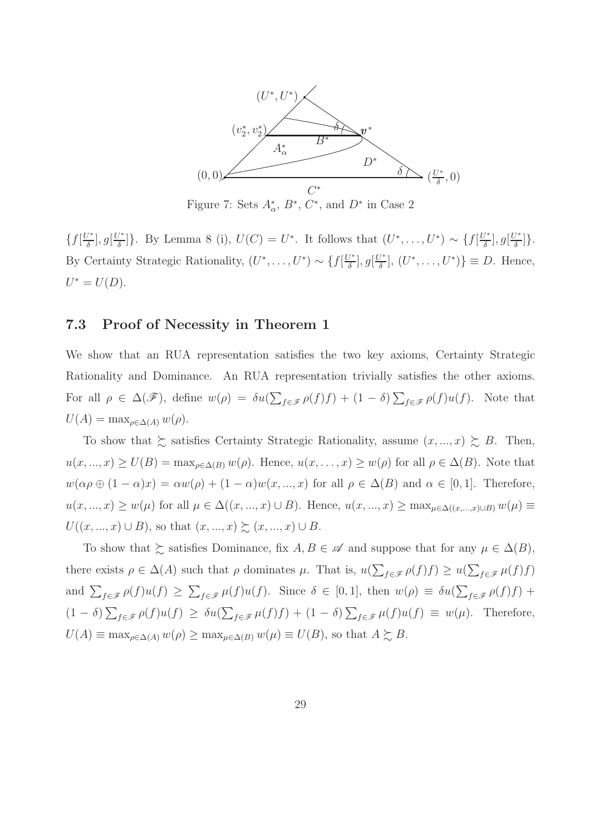

Figure 7: Sets  $A^*_{\alpha}$ ,  $B^*$ ,  $C^*$ , and  $D^*$  in Case 2

 $\{f\left[\frac{U^*}{\delta}\right]$  $\frac{U^*}{\delta}$ ],  $g[\frac{U^*}{\delta}]$ <sup> $\frac{L^*}{\delta}$ </sup>. By Lemma 8 (i),  $U(C) = U^*$ . It follows that  $(U^*, \ldots, U^*) \sim \{f\left[\frac{U^*}{\delta}\right]$  $\frac{U^*}{\delta}$ ],  $g\left[\frac{U^*}{\delta}\right]$  $\frac{1}{\delta}$ ]. By Certainty Strategic Rationality,  $(U^*, \ldots, U^*) \sim \{f | \frac{U^*}{\delta}\}$  $\frac{U^*}{\delta}$ ],  $g\left[\frac{U^*}{\delta}\right]$  $\left\{\frac{U^*}{\delta},\ldots,U^*\right\}\equiv D.$  Hence,  $U^* = U(D).$ 

#### 7.3 Proof of Necessity in Theorem 1

We show that an RUA representation satisfies the two key axioms, Certainty Strategic Rationality and Dominance. An RUA representation trivially satisfies the other axioms. For all  $\rho \in \Delta(\mathscr{F})$ , define  $w(\rho) = \delta u(\sum_{f \in \mathscr{F}} \rho(f)f) + (1 - \delta) \sum_{f \in \mathscr{F}} \rho(f)u(f)$ . Note that  $U(A) = \max_{\rho \in \Delta(A)} w(\rho).$ 

To show that  $\succsim$  satisfies Certainty Strategic Rationality, assume  $(x, ..., x) \succeq B$ . Then,  $u(x, ..., x) \ge U(B) = \max_{\rho \in \Delta(B)} w(\rho)$ . Hence,  $u(x, ..., x) \ge w(\rho)$  for all  $\rho \in \Delta(B)$ . Note that  $w(\alpha \rho \oplus (1 - \alpha)x) = \alpha w(\rho) + (1 - \alpha)w(x, ..., x)$  for all  $\rho \in \Delta(B)$  and  $\alpha \in [0, 1]$ . Therefore,  $u(x, ..., x) \ge w(\mu)$  for all  $\mu \in \Delta((x, ..., x) \cup B)$ . Hence,  $u(x, ..., x) \ge \max_{\mu \in \Delta((x, ..., x) \cup B)} w(\mu) \equiv$  $U((x, ..., x) \cup B)$ , so that  $(x, ..., x) \succsim (x, ..., x) \cup B$ .

To show that  $\succeq$  satisfies Dominance, fix  $A, B \in \mathscr{A}$  and suppose that for any  $\mu \in \Delta(B)$ , there exists  $\rho \in \Delta(A)$  such that  $\rho$  dominates  $\mu$ . That is,  $u(\sum_{f \in \mathscr{F}} \rho(f)f) \geq u(\sum_{f \in \mathscr{F}} \mu(f)f)$ and  $\sum_{f \in \mathscr{F}} \rho(f)u(f) \geq \sum_{f \in \mathscr{F}} \mu(f)u(f)$ . Since  $\delta \in [0,1]$ , then  $w(\rho) \equiv \delta u(\sum_{f \in \mathscr{F}} \rho(f)f)$  +  $(1 - \delta) \sum_{f \in \mathscr{F}} \rho(f) u(f) \geq \delta u(\sum_{f \in \mathscr{F}} \mu(f) f) + (1 - \delta) \sum_{f \in \mathscr{F}} \mu(f) u(f) \equiv w(\mu).$  Therefore,  $U(A) \equiv \max_{\rho \in \Delta(A)} w(\rho) \ge \max_{\mu \in \Delta(B)} w(\mu) \equiv U(B)$ , so that  $A \succsim B$ .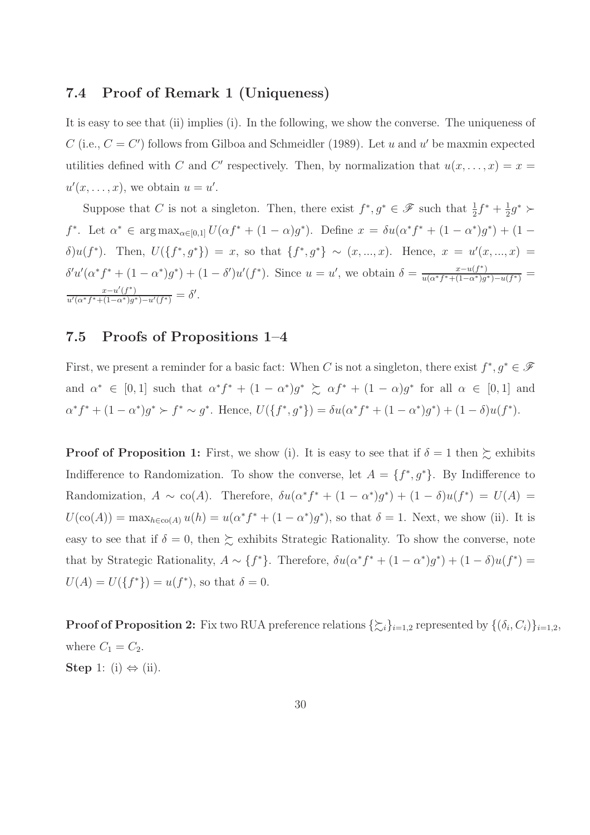#### 7.4 Proof of Remark 1 (Uniqueness)

It is easy to see that (ii) implies (i). In the following, we show the converse. The uniqueness of C (i.e.,  $C = C'$ ) follows from Gilboa and Schmeidler (1989). Let u and u' be maxmin expected utilities defined with C and C' respectively. Then, by normalization that  $u(x, \ldots, x) = x =$  $u'(x,\ldots,x)$ , we obtain  $u=u'$ .

Suppose that C is not a singleton. Then, there exist  $f^*, g^* \in \mathscr{F}$  such that  $\frac{1}{2}f^* + \frac{1}{2}$  $\frac{1}{2}g^*\succ$  $f^*$ . Let  $\alpha^* \in \arg \max_{\alpha \in [0,1]} U(\alpha f^* + (1 - \alpha)g^*)$ . Define  $x = \delta u(\alpha^* f^* + (1 - \alpha^*)g^*) + (1 - \alpha^*)g^*$ δ)u(f<sup>\*</sup>). Then,  $U({f^*},{g^*}) = x$ , so that  ${f^*},{g^*} \sim (x,...,x)$ . Hence,  $x = u'(x,...,x) =$  $\delta' u' (\alpha^* f^* + (1 - \alpha^*) g^*) + (1 - \delta') u' (f^*)$ . Since  $u = u'$ , we obtain  $\delta = \frac{x - u(f^*)}{u(\alpha^* f^* + (1 - \alpha^*) g^*)}$  $\frac{x-u(f^-)}{u(\alpha^*f^*+(1-\alpha^*)g^*)-u(f^*)} =$  $\frac{x-u'(f^*)}{u'(\alpha^*f^*+(1-\alpha^*)g^*)-u'(f^*)}=\delta'.$ 

#### 7.5 Proofs of Propositions 1–4

First, we present a reminder for a basic fact: When C is not a singleton, there exist  $f^*, g^* \in \mathscr{F}$ and  $\alpha^* \in [0,1]$  such that  $\alpha^* f^* + (1-\alpha^*) g^* \succeq \alpha f^* + (1-\alpha) g^*$  for all  $\alpha \in [0,1]$  and  $\alpha^* f^* + (1 - \alpha^*) g^* \succ f^* \sim g^*$ . Hence,  $U(\{f^*, g^*\}) = \delta u(\alpha^* f^* + (1 - \alpha^*) g^*) + (1 - \delta) u(f^*)$ .

**Proof of Proposition 1:** First, we show (i). It is easy to see that if  $\delta = 1$  then  $\succeq$  exhibits Indifference to Randomization. To show the converse, let  $A = \{f^*, g^*\}$ . By Indifference to Randomization,  $A \sim \text{co}(A)$ . Therefore,  $\delta u(\alpha^* f^* + (1 - \alpha^*) g^*) + (1 - \delta) u(f^*) = U(A)$  $U(\text{co}(A)) = \max_{h \in \text{co}(A)} u(h) = u(\alpha^* f^* + (1 - \alpha^*) g^*),$  so that  $\delta = 1$ . Next, we show (ii). It is easy to see that if  $\delta = 0$ , then  $\succsim$  exhibits Strategic Rationality. To show the converse, note that by Strategic Rationality,  $A \sim \{f^*\}$ . Therefore,  $\delta u(\alpha^* f^* + (1 - \alpha^*) g^*) + (1 - \delta) u(f^*) =$  $U(A) = U({f^*}) = u(f^*),$  so that  $\delta = 0$ .

**Proof of Proposition 2:** Fix two RUA preference relations  $\{\xi_i\}_{i=1,2}$  represented by  $\{(\delta_i, C_i)\}_{i=1,2}$ , where  $C_1 = C_2$ . Step 1: (i)  $\Leftrightarrow$  (ii).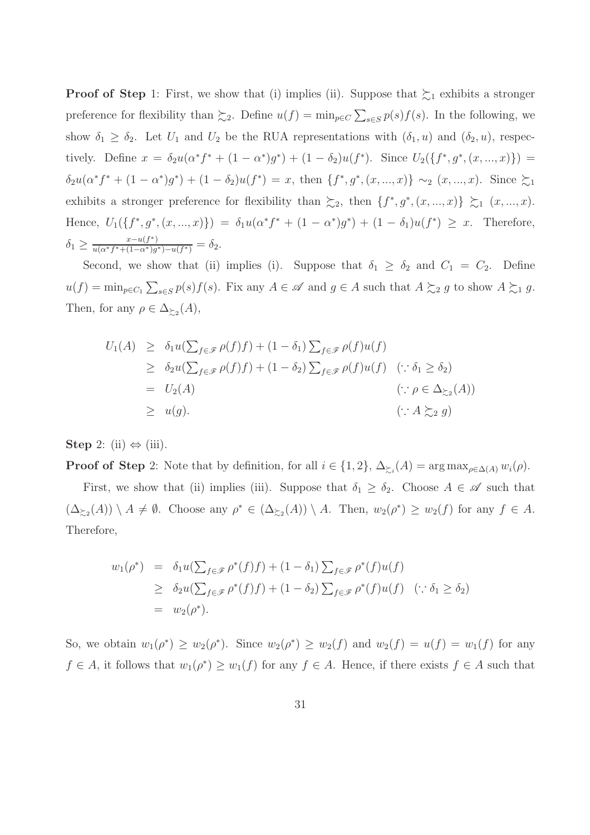**Proof of Step** 1: First, we show that (i) implies (ii). Suppose that  $\succsim_1$  exhibits a stronger preference for flexibility than  $\succsim_2$ . Define  $u(f) = \min_{p \in C} \sum_{s \in S} p(s) f(s)$ . In the following, we show  $\delta_1 \geq \delta_2$ . Let  $U_1$  and  $U_2$  be the RUA representations with  $(\delta_1, u)$  and  $(\delta_2, u)$ , respectively. Define  $x = \delta_2 u(\alpha^* f^* + (1 - \alpha^*) g^*) + (1 - \delta_2) u(f^*)$ . Since  $U_2({f^*}, g^*, (x, ..., x))$  =  $\delta_2 u(\alpha^* f^* + (1 - \alpha^*) g^*) + (1 - \delta_2) u(f^*) = x$ , then  $\{f^*, g^*, (x, ..., x)\} \sim_2 (x, ..., x)$ . Since  $\succsim_1$ exhibits a stronger preference for flexibility than  $\succeq_2$ , then  $\{f^*, g^*, (x, ..., x)\}\succeq_1 (x, ..., x)$ . Hence,  $U_1({f^*}, g^*, (x, ..., x)) = \delta_1 u(\alpha^* f^* + (1 - \alpha^*) g^*) + (1 - \delta_1) u(f^*) \geq x$ . Therefore,  $\delta_1 \geq \frac{x-u(f^*)}{u(\alpha^* f^*+(1-\alpha^*)g)}$  $\frac{x-u(f^{-})}{u(\alpha^*f^{*}+(1-\alpha^*)g^{*})-u(f^{*})}=\delta_2.$ 

Second, we show that (ii) implies (i). Suppose that  $\delta_1 \geq \delta_2$  and  $C_1 = C_2$ . Define  $u(f) = \min_{p \in C_1} \sum_{s \in S} p(s) f(s)$ . Fix any  $A \in \mathscr{A}$  and  $g \in A$  such that  $A \succsim_2 g$  to show  $A \succsim_1 g$ . Then, for any  $\rho \in \Delta_{\succeq 2}(A)$ ,

$$
U_1(A) \geq \delta_1 u(\sum_{f \in \mathcal{F}} \rho(f)f) + (1 - \delta_1) \sum_{f \in \mathcal{F}} \rho(f)u(f)
$$
  
\n
$$
\geq \delta_2 u(\sum_{f \in \mathcal{F}} \rho(f)f) + (1 - \delta_2) \sum_{f \in \mathcal{F}} \rho(f)u(f) \quad (\because \delta_1 \geq \delta_2)
$$
  
\n
$$
= U_2(A) \qquad (\because \rho \in \Delta_{\succsim 2}(A))
$$
  
\n
$$
\geq u(g).
$$
  
\n
$$
(\because A \succsim_2 g)
$$

Step 2: (ii)  $\Leftrightarrow$  (iii).

**Proof of Step** 2: Note that by definition, for all  $i \in \{1,2\}$ ,  $\Delta_{\geq i}(A) = \arg \max_{\rho \in \Delta(A)} w_i(\rho)$ .

First, we show that (ii) implies (iii). Suppose that  $\delta_1 \geq \delta_2$ . Choose  $A \in \mathscr{A}$  such that  $(\Delta_{\geq 2}(A)) \setminus A \neq \emptyset$ . Choose any  $\rho^* \in (\Delta_{\geq 2}(A)) \setminus A$ . Then,  $w_2(\rho^*) \geq w_2(f)$  for any  $f \in A$ . Therefore,

$$
w_1(\rho^*) = \delta_1 u(\sum_{f \in \mathcal{F}} \rho^*(f) f) + (1 - \delta_1) \sum_{f \in \mathcal{F}} \rho^*(f) u(f)
$$
  
\n
$$
\geq \delta_2 u(\sum_{f \in \mathcal{F}} \rho^*(f) f) + (1 - \delta_2) \sum_{f \in \mathcal{F}} \rho^*(f) u(f) \quad (\because \delta_1 \geq \delta_2)
$$
  
\n
$$
= w_2(\rho^*).
$$

So, we obtain  $w_1(\rho^*) \ge w_2(\rho^*)$ . Since  $w_2(\rho^*) \ge w_2(f)$  and  $w_2(f) = u(f) = w_1(f)$  for any  $f \in A$ , it follows that  $w_1(\rho^*) \geq w_1(f)$  for any  $f \in A$ . Hence, if there exists  $f \in A$  such that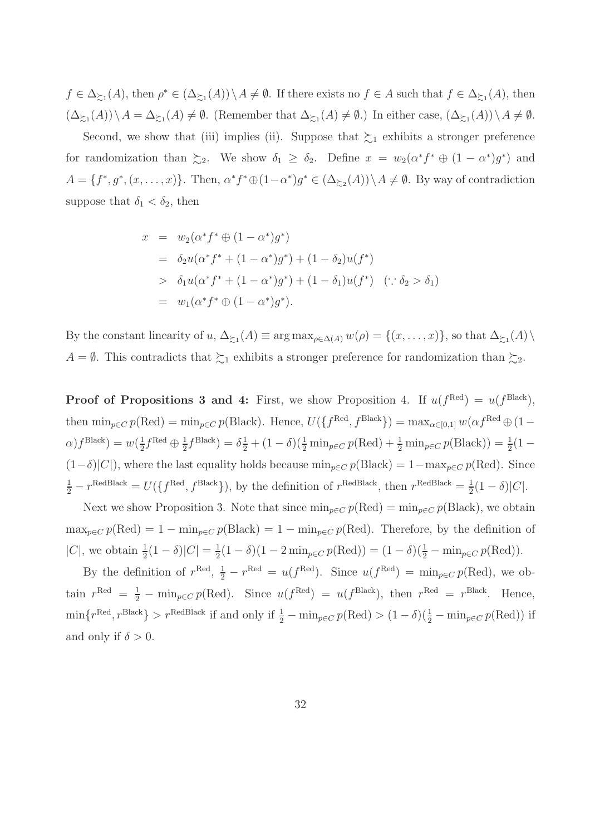$f \in \Delta_{\succeq_1}(A)$ , then  $\rho^* \in (\Delta_{\succeq_1}(A)) \setminus A \neq \emptyset$ . If there exists no  $f \in A$  such that  $f \in \Delta_{\succeq_1}(A)$ , then  $(\Delta_{\geq 1}(A))\setminus A=\Delta_{\geq 1}(A)\neq\emptyset$ . (Remember that  $\Delta_{\geq 1}(A)\neq\emptyset$ .) In either case,  $(\Delta_{\geq 1}(A))\setminus A\neq\emptyset$ .

Second, we show that (iii) implies (ii). Suppose that  $\succsim_1$  exhibits a stronger preference for randomization than  $\succsim_2$ . We show  $\delta_1 \geq \delta_2$ . Define  $x = w_2(\alpha^* f^* \oplus (1 - \alpha^*) g^*)$  and  $A = \{f^*, g^*, (x, \ldots, x)\}.$  Then,  $\alpha^* f^* \oplus (1 - \alpha^*) g^* \in (\Delta_{\geq 2}(A)) \setminus A \neq \emptyset$ . By way of contradiction suppose that  $\delta_1 < \delta_2$ , then

$$
x = w_2(\alpha^* f^* \oplus (1 - \alpha^*) g^*)
$$
  
\n
$$
= \delta_2 u(\alpha^* f^* + (1 - \alpha^*) g^*) + (1 - \delta_2) u(f^*)
$$
  
\n
$$
> \delta_1 u(\alpha^* f^* + (1 - \alpha^*) g^*) + (1 - \delta_1) u(f^*) \quad (\because \delta_2 > \delta_1)
$$
  
\n
$$
= w_1(\alpha^* f^* \oplus (1 - \alpha^*) g^*).
$$

By the constant linearity of  $u, \Delta_{\succeq_1}(A) \equiv \arg \max_{\rho \in \Delta(A)} w(\rho) = \{(x, \ldots, x)\}\)$ , so that  $\Delta_{\succeq_1}(A) \setminus \Delta_{\succeq_2}(A)$  $A = \emptyset$ . This contradicts that  $\succsim_1$  exhibits a stronger preference for randomization than  $\succsim_2$ .

**Proof of Propositions 3 and 4:** First, we show Proposition 4. If  $u(f^{Red}) = u(f^{Black})$ , then  $\min_{p \in C} p(\text{Red}) = \min_{p \in C} p(\text{Black})$ . Hence,  $U(\lbrace f^{\text{Red}}, f^{\text{Black}} \rbrace) = \max_{\alpha \in [0,1]} w(\alpha f^{\text{Red}} \oplus (1-\alpha))$  $\alpha$ )  $f^{\text{Black}}$ ) =  $w(\frac{1}{2})$  $\frac{1}{2}f^{\text{Red}} \oplus \frac{1}{2}$  $\frac{1}{2}f^{\text{Black}} = \delta \frac{1}{2} + (1 - \delta)(\frac{1}{2} \min_{p \in C} p(\text{Red}) + \frac{1}{2} \min_{p \in C} p(\text{Black})) = \frac{1}{2}(1 (1-\delta)|C|$ , where the last equality holds because  $\min_{p\in C} p(\text{Black}) = 1-\max_{p\in C} p(\text{Red})$ . Since  $\frac{1}{2} - r^{\text{RedBlack}} = U(\lbrace f^{\text{Red}}, f^{\text{Black}} \rbrace)$ , by the definition of  $r^{\text{RedBlack}}$ , then  $r^{\text{RedBlack}} = \frac{1}{2}$  $rac{1}{2}(1-\delta)|C|.$ 

Next we show Proposition 3. Note that since  $\min_{p \in C} p(\text{Red}) = \min_{p \in C} p(\text{Black})$ , we obtain  $\max_{p \in C} p(\text{Red}) = 1 - \min_{p \in C} p(\text{Black}) = 1 - \min_{p \in C} p(\text{Red})$ . Therefore, by the definition of |C|, we obtain  $\frac{1}{2}(1 - \delta)|C| = \frac{1}{2}$  $\frac{1}{2}(1-\delta)(1-2\min_{p\in C}p(\text{Red})) = (1-\delta)(\frac{1}{2}-\min_{p\in C}p(\text{Red})).$ 

By the definition of  $r^{\text{Red}}$ ,  $\frac{1}{2} - r^{\text{Red}} = u(f^{\text{Red}})$ . Since  $u(f^{\text{Red}}) = \min_{p \in C} p(\text{Red})$ , we obtain  $r^{\text{Red}} = \frac{1}{2} - \min_{p \in C} p(\text{Red})$ . Since  $u(f^{\text{Red}}) = u(f^{\text{Black}})$ , then  $r^{\text{Red}} = r^{\text{Black}}$ . Hence,  $\min\{r^{\text{Red}}, r^{\text{Black}}\} > r^{\text{RedBlack}}\}$  if and only if  $\frac{1}{2} - \min_{p \in C} p(\text{Red}) > (1 - \delta)(\frac{1}{2} - \min_{p \in C} p(\text{Red}))$  if and only if  $\delta > 0$ .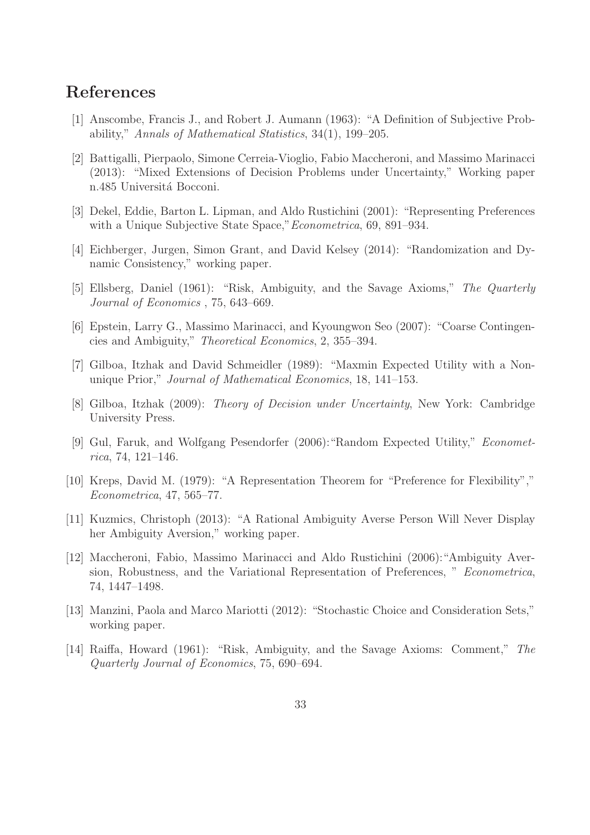## References

- [1] Anscombe, Francis J., and Robert J. Aumann (1963): "A Definition of Subjective Probability," Annals of Mathematical Statistics, 34(1), 199–205.
- [2] Battigalli, Pierpaolo, Simone Cerreia-Vioglio, Fabio Maccheroni, and Massimo Marinacci (2013): "Mixed Extensions of Decision Problems under Uncertainty," Working paper n.485 Universitá Bocconi.
- [3] Dekel, Eddie, Barton L. Lipman, and Aldo Rustichini (2001): "Representing Preferences with a Unique Subjective State Space," *Econometrica*, 69, 891–934.
- [4] Eichberger, Jurgen, Simon Grant, and David Kelsey (2014): "Randomization and Dynamic Consistency," working paper.
- [5] Ellsberg, Daniel (1961): "Risk, Ambiguity, and the Savage Axioms," The Quarterly Journal of Economics , 75, 643–669.
- [6] Epstein, Larry G., Massimo Marinacci, and Kyoungwon Seo (2007): "Coarse Contingencies and Ambiguity," Theoretical Economics, 2, 355–394.
- [7] Gilboa, Itzhak and David Schmeidler (1989): "Maxmin Expected Utility with a Nonunique Prior," Journal of Mathematical Economics, 18, 141–153.
- [8] Gilboa, Itzhak (2009): Theory of Decision under Uncertainty, New York: Cambridge University Press.
- [9] Gul, Faruk, and Wolfgang Pesendorfer (2006):"Random Expected Utility," Econometrica, 74, 121–146.
- [10] Kreps, David M. (1979): "A Representation Theorem for "Preference for Flexibility"," Econometrica, 47, 565–77.
- [11] Kuzmics, Christoph (2013): "A Rational Ambiguity Averse Person Will Never Display her Ambiguity Aversion," working paper.
- [12] Maccheroni, Fabio, Massimo Marinacci and Aldo Rustichini (2006):"Ambiguity Aversion, Robustness, and the Variational Representation of Preferences, " Econometrica, 74, 1447–1498.
- [13] Manzini, Paola and Marco Mariotti (2012): "Stochastic Choice and Consideration Sets," working paper.
- [14] Raiffa, Howard (1961): "Risk, Ambiguity, and the Savage Axioms: Comment," The Quarterly Journal of Economics, 75, 690–694.